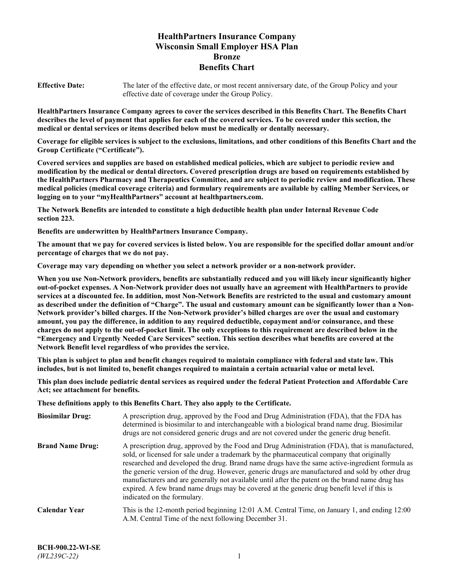# **HealthPartners Insurance Company Wisconsin Small Employer HSA Plan Bronze Benefits Chart**

**Effective Date:** The later of the effective date, or most recent anniversary date, of the Group Policy and your effective date of coverage under the Group Policy.

**HealthPartners Insurance Company agrees to cover the services described in this Benefits Chart. The Benefits Chart describes the level of payment that applies for each of the covered services. To be covered under this section, the medical or dental services or items described below must be medically or dentally necessary.**

**Coverage for eligible services is subject to the exclusions, limitations, and other conditions of this Benefits Chart and the Group Certificate ("Certificate").**

**Covered services and supplies are based on established medical policies, which are subject to periodic review and modification by the medical or dental directors. Covered prescription drugs are based on requirements established by the HealthPartners Pharmacy and Therapeutics Committee, and are subject to periodic review and modification. These medical policies (medical coverage criteria) and formulary requirements are available by calling Member Services, or logging on to your "myHealthPartners" account at [healthpartners.com.](https://www.healthpartners.com/hp/index.html)**

**The Network Benefits are intended to constitute a high deductible health plan under Internal Revenue Code section 223.**

**Benefits are underwritten by HealthPartners Insurance Company.**

**The amount that we pay for covered services is listed below. You are responsible for the specified dollar amount and/or percentage of charges that we do not pay.**

**Coverage may vary depending on whether you select a network provider or a non-network provider.**

**When you use Non-Network providers, benefits are substantially reduced and you will likely incur significantly higher out-of-pocket expenses. A Non-Network provider does not usually have an agreement with HealthPartners to provide services at a discounted fee. In addition, most Non-Network Benefits are restricted to the usual and customary amount as described under the definition of "Charge". The usual and customary amount can be significantly lower than a Non-Network provider's billed charges. If the Non-Network provider's billed charges are over the usual and customary amount, you pay the difference, in addition to any required deductible, copayment and/or coinsurance, and these charges do not apply to the out-of-pocket limit. The only exceptions to this requirement are described below in the "Emergency and Urgently Needed Care Services" section. This section describes what benefits are covered at the Network Benefit level regardless of who provides the service.**

**This plan is subject to plan and benefit changes required to maintain compliance with federal and state law. This includes, but is not limited to, benefit changes required to maintain a certain actuarial value or metal level.**

**This plan does include pediatric dental services as required under the federal Patient Protection and Affordable Care Act; see attachment for benefits.**

**These definitions apply to this Benefits Chart. They also apply to the Certificate.**

| <b>Biosimilar Drug:</b> | A prescription drug, approved by the Food and Drug Administration (FDA), that the FDA has<br>determined is biosimilar to and interchangeable with a biological brand name drug. Biosimilar<br>drugs are not considered generic drugs and are not covered under the generic drug benefit.                                                                                                                                                                                                                                                                                                                                           |
|-------------------------|------------------------------------------------------------------------------------------------------------------------------------------------------------------------------------------------------------------------------------------------------------------------------------------------------------------------------------------------------------------------------------------------------------------------------------------------------------------------------------------------------------------------------------------------------------------------------------------------------------------------------------|
| <b>Brand Name Drug:</b> | A prescription drug, approved by the Food and Drug Administration (FDA), that is manufactured,<br>sold, or licensed for sale under a trademark by the pharmaceutical company that originally<br>researched and developed the drug. Brand name drugs have the same active-ingredient formula as<br>the generic version of the drug. However, generic drugs are manufactured and sold by other drug<br>manufacturers and are generally not available until after the patent on the brand name drug has<br>expired. A few brand name drugs may be covered at the generic drug benefit level if this is<br>indicated on the formulary. |
| <b>Calendar Year</b>    | This is the 12-month period beginning 12:01 A.M. Central Time, on January 1, and ending 12:00<br>A.M. Central Time of the next following December 31.                                                                                                                                                                                                                                                                                                                                                                                                                                                                              |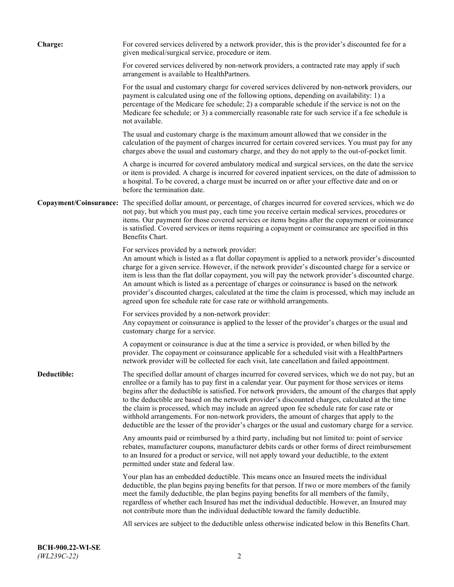| Charge:     | For covered services delivered by a network provider, this is the provider's discounted fee for a<br>given medical/surgical service, procedure or item.                                                                                                                                                                                                                                                                                                                                                                                                                                                                                                                                                                 |
|-------------|-------------------------------------------------------------------------------------------------------------------------------------------------------------------------------------------------------------------------------------------------------------------------------------------------------------------------------------------------------------------------------------------------------------------------------------------------------------------------------------------------------------------------------------------------------------------------------------------------------------------------------------------------------------------------------------------------------------------------|
|             | For covered services delivered by non-network providers, a contracted rate may apply if such<br>arrangement is available to HealthPartners.                                                                                                                                                                                                                                                                                                                                                                                                                                                                                                                                                                             |
|             | For the usual and customary charge for covered services delivered by non-network providers, our<br>payment is calculated using one of the following options, depending on availability: 1) a<br>percentage of the Medicare fee schedule; 2) a comparable schedule if the service is not on the<br>Medicare fee schedule; or 3) a commercially reasonable rate for such service if a fee schedule is<br>not available.                                                                                                                                                                                                                                                                                                   |
|             | The usual and customary charge is the maximum amount allowed that we consider in the<br>calculation of the payment of charges incurred for certain covered services. You must pay for any<br>charges above the usual and customary charge, and they do not apply to the out-of-pocket limit.                                                                                                                                                                                                                                                                                                                                                                                                                            |
|             | A charge is incurred for covered ambulatory medical and surgical services, on the date the service<br>or item is provided. A charge is incurred for covered inpatient services, on the date of admission to<br>a hospital. To be covered, a charge must be incurred on or after your effective date and on or<br>before the termination date.                                                                                                                                                                                                                                                                                                                                                                           |
|             | Copayment/Coinsurance: The specified dollar amount, or percentage, of charges incurred for covered services, which we do<br>not pay, but which you must pay, each time you receive certain medical services, procedures or<br>items. Our payment for those covered services or items begins after the copayment or coinsurance<br>is satisfied. Covered services or items requiring a copayment or coinsurance are specified in this<br>Benefits Chart.                                                                                                                                                                                                                                                                 |
|             | For services provided by a network provider:<br>An amount which is listed as a flat dollar copayment is applied to a network provider's discounted<br>charge for a given service. However, if the network provider's discounted charge for a service or<br>item is less than the flat dollar copayment, you will pay the network provider's discounted charge.<br>An amount which is listed as a percentage of charges or coinsurance is based on the network<br>provider's discounted charges, calculated at the time the claim is processed, which may include an<br>agreed upon fee schedule rate for case rate or withhold arrangements.                                                                            |
|             | For services provided by a non-network provider:<br>Any copayment or coinsurance is applied to the lesser of the provider's charges or the usual and<br>customary charge for a service.                                                                                                                                                                                                                                                                                                                                                                                                                                                                                                                                 |
|             | A copayment or coinsurance is due at the time a service is provided, or when billed by the<br>provider. The copayment or coinsurance applicable for a scheduled visit with a HealthPartners<br>network provider will be collected for each visit, late cancellation and failed appointment.                                                                                                                                                                                                                                                                                                                                                                                                                             |
| Deductible: | The specified dollar amount of charges incurred for covered services, which we do not pay, but an<br>enrollee or a family has to pay first in a calendar year. Our payment for those services or items<br>begins after the deductible is satisfied. For network providers, the amount of the charges that apply<br>to the deductible are based on the network provider's discounted charges, calculated at the time<br>the claim is processed, which may include an agreed upon fee schedule rate for case rate or<br>withhold arrangements. For non-network providers, the amount of charges that apply to the<br>deductible are the lesser of the provider's charges or the usual and customary charge for a service. |
|             | Any amounts paid or reimbursed by a third party, including but not limited to: point of service<br>rebates, manufacturer coupons, manufacturer debits cards or other forms of direct reimbursement<br>to an Insured for a product or service, will not apply toward your deductible, to the extent<br>permitted under state and federal law.                                                                                                                                                                                                                                                                                                                                                                            |
|             | Your plan has an embedded deductible. This means once an Insured meets the individual<br>deductible, the plan begins paying benefits for that person. If two or more members of the family<br>meet the family deductible, the plan begins paying benefits for all members of the family,<br>regardless of whether each Insured has met the individual deductible. However, an Insured may<br>not contribute more than the individual deductible toward the family deductible.                                                                                                                                                                                                                                           |
|             | All services are subject to the deductible unless otherwise indicated below in this Benefits Chart.                                                                                                                                                                                                                                                                                                                                                                                                                                                                                                                                                                                                                     |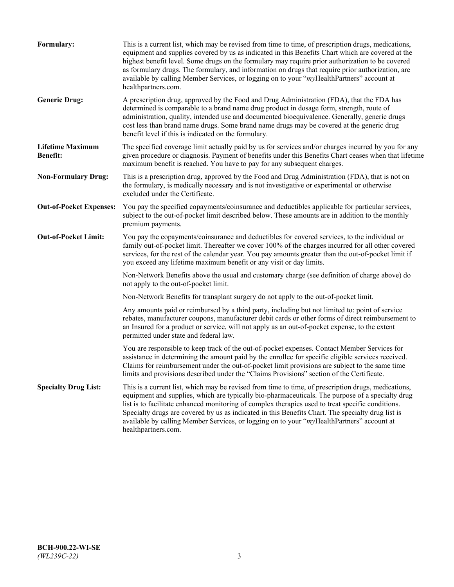| Formulary:                                 | This is a current list, which may be revised from time to time, of prescription drugs, medications,<br>equipment and supplies covered by us as indicated in this Benefits Chart which are covered at the<br>highest benefit level. Some drugs on the formulary may require prior authorization to be covered<br>as formulary drugs. The formulary, and information on drugs that require prior authorization, are<br>available by calling Member Services, or logging on to your "myHealthPartners" account at<br>healthpartners.com. |
|--------------------------------------------|---------------------------------------------------------------------------------------------------------------------------------------------------------------------------------------------------------------------------------------------------------------------------------------------------------------------------------------------------------------------------------------------------------------------------------------------------------------------------------------------------------------------------------------|
| <b>Generic Drug:</b>                       | A prescription drug, approved by the Food and Drug Administration (FDA), that the FDA has<br>determined is comparable to a brand name drug product in dosage form, strength, route of<br>administration, quality, intended use and documented bioequivalence. Generally, generic drugs<br>cost less than brand name drugs. Some brand name drugs may be covered at the generic drug<br>benefit level if this is indicated on the formulary.                                                                                           |
| <b>Lifetime Maximum</b><br><b>Benefit:</b> | The specified coverage limit actually paid by us for services and/or charges incurred by you for any<br>given procedure or diagnosis. Payment of benefits under this Benefits Chart ceases when that lifetime<br>maximum benefit is reached. You have to pay for any subsequent charges.                                                                                                                                                                                                                                              |
| <b>Non-Formulary Drug:</b>                 | This is a prescription drug, approved by the Food and Drug Administration (FDA), that is not on<br>the formulary, is medically necessary and is not investigative or experimental or otherwise<br>excluded under the Certificate.                                                                                                                                                                                                                                                                                                     |
| <b>Out-of-Pocket Expenses:</b>             | You pay the specified copayments/coinsurance and deductibles applicable for particular services,<br>subject to the out-of-pocket limit described below. These amounts are in addition to the monthly<br>premium payments.                                                                                                                                                                                                                                                                                                             |
| <b>Out-of-Pocket Limit:</b>                | You pay the copayments/coinsurance and deductibles for covered services, to the individual or<br>family out-of-pocket limit. Thereafter we cover 100% of the charges incurred for all other covered<br>services, for the rest of the calendar year. You pay amounts greater than the out-of-pocket limit if<br>you exceed any lifetime maximum benefit or any visit or day limits.                                                                                                                                                    |
|                                            | Non-Network Benefits above the usual and customary charge (see definition of charge above) do<br>not apply to the out-of-pocket limit.                                                                                                                                                                                                                                                                                                                                                                                                |
|                                            | Non-Network Benefits for transplant surgery do not apply to the out-of-pocket limit.                                                                                                                                                                                                                                                                                                                                                                                                                                                  |
|                                            | Any amounts paid or reimbursed by a third party, including but not limited to: point of service<br>rebates, manufacturer coupons, manufacturer debit cards or other forms of direct reimbursement to<br>an Insured for a product or service, will not apply as an out-of-pocket expense, to the extent<br>permitted under state and federal law.                                                                                                                                                                                      |
|                                            | You are responsible to keep track of the out-of-pocket expenses. Contact Member Services for<br>assistance in determining the amount paid by the enrollee for specific eligible services received.<br>Claims for reimbursement under the out-of-pocket limit provisions are subject to the same time<br>limits and provisions described under the "Claims Provisions" section of the Certificate.                                                                                                                                     |
| <b>Specialty Drug List:</b>                | This is a current list, which may be revised from time to time, of prescription drugs, medications,<br>equipment and supplies, which are typically bio-pharmaceuticals. The purpose of a specialty drug<br>list is to facilitate enhanced monitoring of complex therapies used to treat specific conditions.<br>Specialty drugs are covered by us as indicated in this Benefits Chart. The specialty drug list is<br>available by calling Member Services, or logging on to your "myHealthPartners" account at<br>healthpartners.com. |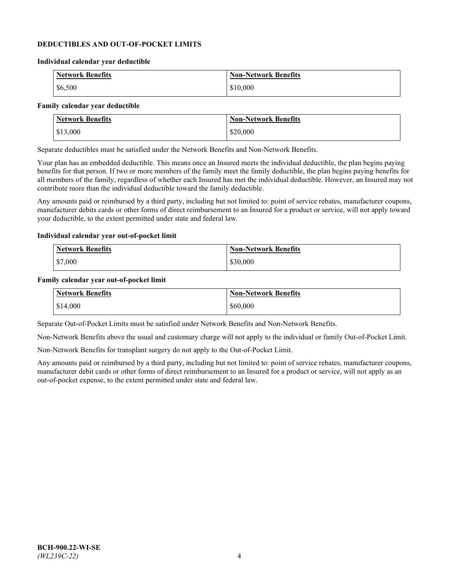### **DEDUCTIBLES AND OUT-OF-POCKET LIMITS**

#### **Individual calendar year deductible**

| <b>Network Benefits</b> | <b>Non-Network Benefits</b> |
|-------------------------|-----------------------------|
| \$6,500                 | \$10,000                    |

### **Family calendar year deductible**

| <b>Network Benefits</b> | <b>Non-Network Benefits</b> |
|-------------------------|-----------------------------|
| \$13,000                | \$20,000                    |

Separate deductibles must be satisfied under the Network Benefits and Non-Network Benefits.

Your plan has an embedded deductible. This means once an Insured meets the individual deductible, the plan begins paying benefits for that person. If two or more members of the family meet the family deductible, the plan begins paying benefits for all members of the family, regardless of whether each Insured has met the individual deductible. However, an Insured may not contribute more than the individual deductible toward the family deductible.

Any amounts paid or reimbursed by a third party, including but not limited to: point of service rebates, manufacturer coupons, manufacturer debits cards or other forms of direct reimbursement to an Insured for a product or service, will not apply toward your deductible, to the extent permitted under state and federal law.

#### **Individual calendar year out-of-pocket limit**

| Network Benefits | <b>Non-Network Benefits</b> |
|------------------|-----------------------------|
| \$7,000          | \$30,000                    |

#### **Family calendar year out-of-pocket limit**

| <b>Network Benefits</b> | <b>Non-Network Benefits</b> |
|-------------------------|-----------------------------|
| \$14,000                | \$60,000                    |

Separate Out-of-Pocket Limits must be satisfied under Network Benefits and Non-Network Benefits.

Non-Network Benefits above the usual and customary charge will not apply to the individual or family Out-of-Pocket Limit.

Non-Network Benefits for transplant surgery do not apply to the Out-of-Pocket Limit.

Any amounts paid or reimbursed by a third party, including but not limited to: point of service rebates, manufacturer coupons, manufacturer debit cards or other forms of direct reimbursement to an Insured for a product or service, will not apply as an out-of-pocket expense, to the extent permitted under state and federal law.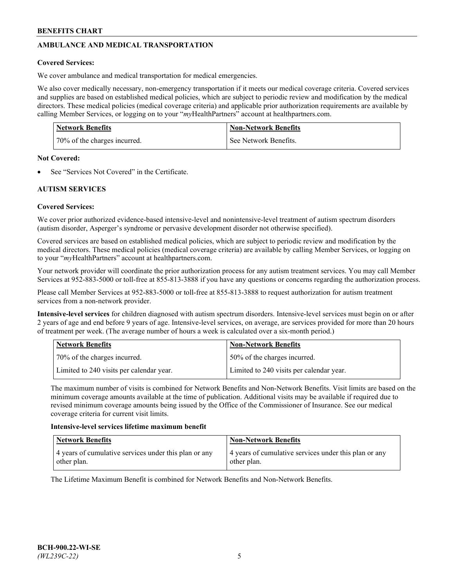# **AMBULANCE AND MEDICAL TRANSPORTATION**

### **Covered Services:**

We cover ambulance and medical transportation for medical emergencies.

We also cover medically necessary, non-emergency transportation if it meets our medical coverage criteria. Covered services and supplies are based on established medical policies, which are subject to periodic review and modification by the medical directors. These medical policies (medical coverage criteria) and applicable prior authorization requirements are available by calling Member Services, or logging on to your "*my*HealthPartners" account a[t healthpartners.com.](https://www.healthpartners.com/hp/index.html)

| Network Benefits             | <b>Non-Network Benefits</b> |
|------------------------------|-----------------------------|
| 70% of the charges incurred. | See Network Benefits.       |

#### **Not Covered:**

See "Services Not Covered" in the Certificate.

# **AUTISM SERVICES**

### **Covered Services:**

We cover prior authorized evidence-based intensive-level and nonintensive-level treatment of autism spectrum disorders (autism disorder, Asperger's syndrome or pervasive development disorder not otherwise specified).

Covered services are based on established medical policies, which are subject to periodic review and modification by the medical directors. These medical policies (medical coverage criteria) are available by calling Member Services, or logging on to your "*my*HealthPartners" account at [healthpartners.com.](https://www.healthpartners.com/hp/index.html)

Your network provider will coordinate the prior authorization process for any autism treatment services. You may call Member Services at 952-883-5000 or toll-free at 855-813-3888 if you have any questions or concerns regarding the authorization process.

Please call Member Services at 952-883-5000 or toll-free at 855-813-3888 to request authorization for autism treatment services from a non-network provider.

**Intensive-level services** for children diagnosed with autism spectrum disorders. Intensive-level services must begin on or after 2 years of age and end before 9 years of age. Intensive-level services, on average, are services provided for more than 20 hours of treatment per week. (The average number of hours a week is calculated over a six-month period.)

| Network Benefits                         | <b>Non-Network Benefits</b>              |
|------------------------------------------|------------------------------------------|
| 70% of the charges incurred.             | 50% of the charges incurred.             |
| Limited to 240 visits per calendar year. | Limited to 240 visits per calendar year. |

The maximum number of visits is combined for Network Benefits and Non-Network Benefits. Visit limits are based on the minimum coverage amounts available at the time of publication. Additional visits may be available if required due to revised minimum coverage amounts being issued by the Office of the Commissioner of Insurance. See our medical coverage criteria for current visit limits.

#### **Intensive-level services lifetime maximum benefit**

| Network Benefits                                                     | <b>Non-Network Benefits</b>                                          |
|----------------------------------------------------------------------|----------------------------------------------------------------------|
| 4 years of cumulative services under this plan or any<br>other plan. | 4 years of cumulative services under this plan or any<br>other plan. |

The Lifetime Maximum Benefit is combined for Network Benefits and Non-Network Benefits.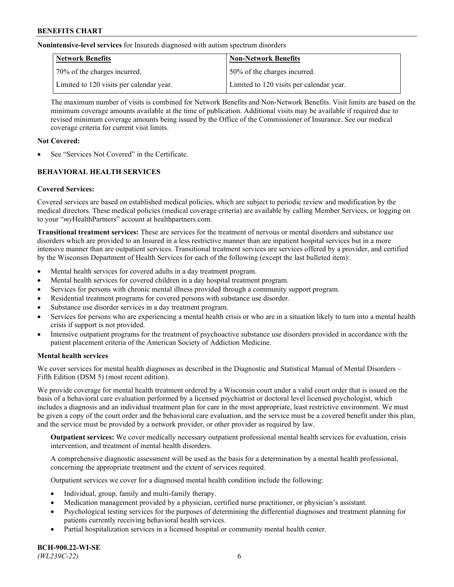**Nonintensive-level services** for Insureds diagnosed with autism spectrum disorders

| Network Benefits                         | <b>Non-Network Benefits</b>              |
|------------------------------------------|------------------------------------------|
| 70% of the charges incurred.             | 150% of the charges incurred.            |
| Limited to 120 visits per calendar year. | Limited to 120 visits per calendar year. |

The maximum number of visits is combined for Network Benefits and Non-Network Benefits. Visit limits are based on the minimum coverage amounts available at the time of publication. Additional visits may be available if required due to revised minimum coverage amounts being issued by the Office of the Commissioner of Insurance. See our medical coverage criteria for current visit limits.

# **Not Covered:**

See "Services Not Covered" in the Certificate.

# **BEHAVIORAL HEALTH SERVICES**

### **Covered Services:**

Covered services are based on established medical policies, which are subject to periodic review and modification by the medical directors. These medical policies (medical coverage criteria) are available by calling Member Services, or logging on to your "*my*HealthPartners" account at [healthpartners.com.](https://www.healthpartners.com/hp/index.html)

**Transitional treatment services:** These are services for the treatment of nervous or mental disorders and substance use disorders which are provided to an Insured in a less restrictive manner than are inpatient hospital services but in a more intensive manner than are outpatient services. Transitional treatment services are services offered by a provider, and certified by the Wisconsin Department of Health Services for each of the following (except the last bulleted item):

- Mental health services for covered adults in a day treatment program.
- Mental health services for covered children in a day hospital treatment program.
- Services for persons with chronic mental illness provided through a community support program.
- Residential treatment programs for covered persons with substance use disorder.
- Substance use disorder services in a day treatment program.
- Services for persons who are experiencing a mental health crisis or who are in a situation likely to turn into a mental health crisis if support is not provided.
- Intensive outpatient programs for the treatment of psychoactive substance use disorders provided in accordance with the patient placement criteria of the American Society of Addiction Medicine.

### **Mental health services**

We cover services for mental health diagnoses as described in the Diagnostic and Statistical Manual of Mental Disorders – Fifth Edition (DSM 5) (most recent edition).

We provide coverage for mental health treatment ordered by a Wisconsin court under a valid court order that is issued on the basis of a behavioral care evaluation performed by a licensed psychiatrist or doctoral level licensed psychologist, which includes a diagnosis and an individual treatment plan for care in the most appropriate, least restrictive environment. We must be given a copy of the court order and the behavioral care evaluation, and the service must be a covered benefit under this plan, and the service must be provided by a network provider, or other provider as required by law.

**Outpatient services:** We cover medically necessary outpatient professional mental health services for evaluation, crisis intervention, and treatment of mental health disorders.

A comprehensive diagnostic assessment will be used as the basis for a determination by a mental health professional, concerning the appropriate treatment and the extent of services required.

Outpatient services we cover for a diagnosed mental health condition include the following:

- Individual, group, family and multi-family therapy.
- Medication management provided by a physician, certified nurse practitioner, or physician's assistant.
- Psychological testing services for the purposes of determining the differential diagnoses and treatment planning for patients currently receiving behavioral health services.
- Partial hospitalization services in a licensed hospital or community mental health center.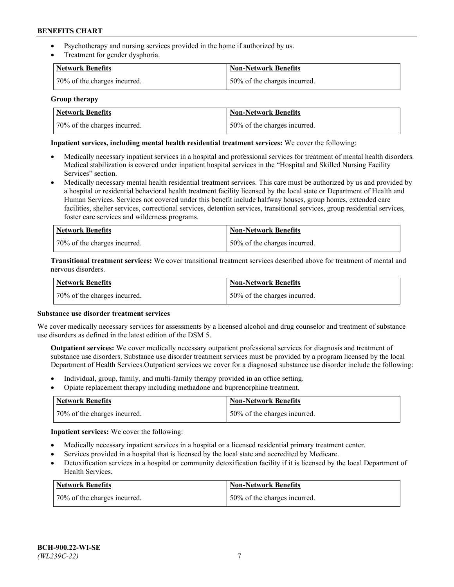- Psychotherapy and nursing services provided in the home if authorized by us.
- Treatment for gender dysphoria.

| Network Benefits             | <b>Non-Network Benefits</b>  |
|------------------------------|------------------------------|
| 70% of the charges incurred. | 50% of the charges incurred. |

### **Group therapy**

| <b>Network Benefits</b>      | <b>Non-Network Benefits</b>   |
|------------------------------|-------------------------------|
| 70% of the charges incurred. | 150% of the charges incurred. |

### **Inpatient services, including mental health residential treatment services:** We cover the following:

- Medically necessary inpatient services in a hospital and professional services for treatment of mental health disorders. Medical stabilization is covered under inpatient hospital services in the "Hospital and Skilled Nursing Facility Services" section.
- Medically necessary mental health residential treatment services. This care must be authorized by us and provided by a hospital or residential behavioral health treatment facility licensed by the local state or Department of Health and Human Services. Services not covered under this benefit include halfway houses, group homes, extended care facilities, shelter services, correctional services, detention services, transitional services, group residential services, foster care services and wilderness programs.

| Network Benefits             | Non-Network Benefits          |
|------------------------------|-------------------------------|
| 70% of the charges incurred. | 150% of the charges incurred. |

**Transitional treatment services:** We cover transitional treatment services described above for treatment of mental and nervous disorders.

| Network Benefits             | <b>Non-Network Benefits</b>  |
|------------------------------|------------------------------|
| 70% of the charges incurred. | 50% of the charges incurred. |

### **Substance use disorder treatment services**

We cover medically necessary services for assessments by a licensed alcohol and drug counselor and treatment of substance use disorders as defined in the latest edition of the DSM 5.

**Outpatient services:** We cover medically necessary outpatient professional services for diagnosis and treatment of substance use disorders. Substance use disorder treatment services must be provided by a program licensed by the local Department of Health Services.Outpatient services we cover for a diagnosed substance use disorder include the following:

- Individual, group, family, and multi-family therapy provided in an office setting.
- Opiate replacement therapy including methadone and buprenorphine treatment.

| Network Benefits             | Non-Network Benefits         |
|------------------------------|------------------------------|
| 70% of the charges incurred. | 50% of the charges incurred. |

**Inpatient services:** We cover the following:

- Medically necessary inpatient services in a hospital or a licensed residential primary treatment center.
- Services provided in a hospital that is licensed by the local state and accredited by Medicare.
- Detoxification services in a hospital or community detoxification facility if it is licensed by the local Department of Health Services.

| Network Benefits             | Non-Network Benefits         |
|------------------------------|------------------------------|
| 70% of the charges incurred. | 50% of the charges incurred. |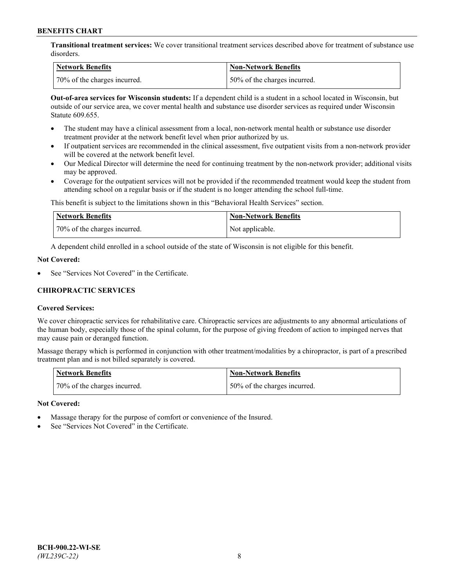**Transitional treatment services:** We cover transitional treatment services described above for treatment of substance use disorders.

| Network Benefits             | Non-Network Benefits          |
|------------------------------|-------------------------------|
| 70% of the charges incurred. | 150% of the charges incurred. |

**Out-of-area services for Wisconsin students:** If a dependent child is a student in a school located in Wisconsin, but outside of our service area, we cover mental health and substance use disorder services as required under Wisconsin Statute 609.655.

- The student may have a clinical assessment from a local, non-network mental health or substance use disorder treatment provider at the network benefit level when prior authorized by us.
- If outpatient services are recommended in the clinical assessment, five outpatient visits from a non-network provider will be covered at the network benefit level.
- Our Medical Director will determine the need for continuing treatment by the non-network provider; additional visits may be approved.
- Coverage for the outpatient services will not be provided if the recommended treatment would keep the student from attending school on a regular basis or if the student is no longer attending the school full-time.

This benefit is subject to the limitations shown in this "Behavioral Health Services" section.

| Network Benefits             | <b>Non-Network Benefits</b> |
|------------------------------|-----------------------------|
| 70% of the charges incurred. | Not applicable.             |

A dependent child enrolled in a school outside of the state of Wisconsin is not eligible for this benefit.

### **Not Covered:**

See "Services Not Covered" in the Certificate.

# **CHIROPRACTIC SERVICES**

### **Covered Services:**

We cover chiropractic services for rehabilitative care. Chiropractic services are adjustments to any abnormal articulations of the human body, especially those of the spinal column, for the purpose of giving freedom of action to impinged nerves that may cause pain or deranged function.

Massage therapy which is performed in conjunction with other treatment/modalities by a chiropractor, is part of a prescribed treatment plan and is not billed separately is covered.

| Network Benefits             | <b>Non-Network Benefits</b>   |
|------------------------------|-------------------------------|
| 70% of the charges incurred. | 150% of the charges incurred. |

#### **Not Covered:**

- Massage therapy for the purpose of comfort or convenience of the Insured.
- See "Services Not Covered" in the Certificate.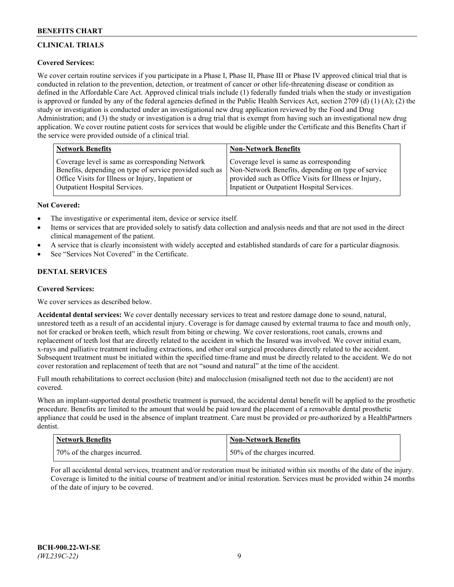# **CLINICAL TRIALS**

# **Covered Services:**

We cover certain routine services if you participate in a Phase I, Phase II, Phase III or Phase IV approved clinical trial that is conducted in relation to the prevention, detection, or treatment of cancer or other life-threatening disease or condition as defined in the Affordable Care Act. Approved clinical trials include (1) federally funded trials when the study or investigation is approved or funded by any of the federal agencies defined in the Public Health Services Act, section 2709 (d) (1) (A); (2) the study or investigation is conducted under an investigational new drug application reviewed by the Food and Drug Administration; and (3) the study or investigation is a drug trial that is exempt from having such an investigational new drug application. We cover routine patient costs for services that would be eligible under the Certificate and this Benefits Chart if the service were provided outside of a clinical trial.

| <b>Network Benefits</b>                                 | <b>Non-Network Benefits</b>                           |
|---------------------------------------------------------|-------------------------------------------------------|
| Coverage level is same as corresponding Network         | Coverage level is same as corresponding               |
| Benefits, depending on type of service provided such as | Non-Network Benefits, depending on type of service    |
| Office Visits for Illness or Injury, Inpatient or       | provided such as Office Visits for Illness or Injury, |
| Outpatient Hospital Services.                           | Inpatient or Outpatient Hospital Services.            |

### **Not Covered:**

- The investigative or experimental item, device or service itself.
- Items or services that are provided solely to satisfy data collection and analysis needs and that are not used in the direct clinical management of the patient.
- A service that is clearly inconsistent with widely accepted and established standards of care for a particular diagnosis.
- See "Services Not Covered" in the Certificate.

# **DENTAL SERVICES**

### **Covered Services:**

We cover services as described below.

**Accidental dental services:** We cover dentally necessary services to treat and restore damage done to sound, natural, unrestored teeth as a result of an accidental injury. Coverage is for damage caused by external trauma to face and mouth only, not for cracked or broken teeth, which result from biting or chewing. We cover restorations, root canals, crowns and replacement of teeth lost that are directly related to the accident in which the Insured was involved. We cover initial exam, x-rays and palliative treatment including extractions, and other oral surgical procedures directly related to the accident. Subsequent treatment must be initiated within the specified time-frame and must be directly related to the accident. We do not cover restoration and replacement of teeth that are not "sound and natural" at the time of the accident.

Full mouth rehabilitations to correct occlusion (bite) and malocclusion (misaligned teeth not due to the accident) are not covered.

When an implant-supported dental prosthetic treatment is pursued, the accidental dental benefit will be applied to the prosthetic procedure. Benefits are limited to the amount that would be paid toward the placement of a removable dental prosthetic appliance that could be used in the absence of implant treatment. Care must be provided or pre-authorized by a HealthPartners dentist.

| <b>Network Benefits</b>      | <b>Non-Network Benefits</b>  |
|------------------------------|------------------------------|
| 70% of the charges incurred. | 50% of the charges incurred. |

For all accidental dental services, treatment and/or restoration must be initiated within six months of the date of the injury. Coverage is limited to the initial course of treatment and/or initial restoration. Services must be provided within 24 months of the date of injury to be covered.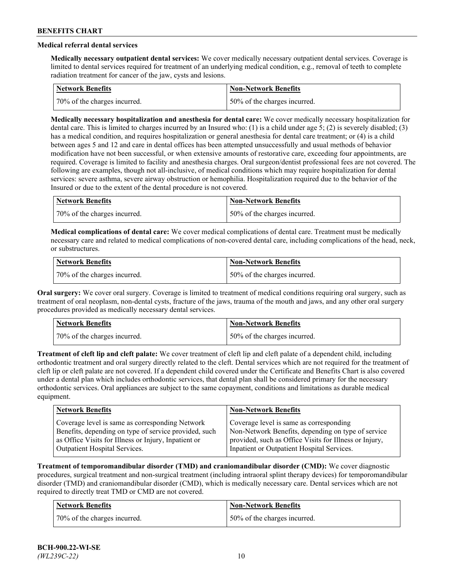# **Medical referral dental services**

**Medically necessary outpatient dental services:** We cover medically necessary outpatient dental services. Coverage is limited to dental services required for treatment of an underlying medical condition, e.g., removal of teeth to complete radiation treatment for cancer of the jaw, cysts and lesions.

| <b>Network Benefits</b>       | Non-Network Benefits             |
|-------------------------------|----------------------------------|
| 170% of the charges incurred. | $150\%$ of the charges incurred. |

**Medically necessary hospitalization and anesthesia for dental care:** We cover medically necessary hospitalization for dental care. This is limited to charges incurred by an Insured who: (1) is a child under age 5; (2) is severely disabled; (3) has a medical condition, and requires hospitalization or general anesthesia for dental care treatment; or (4) is a child between ages 5 and 12 and care in dental offices has been attempted unsuccessfully and usual methods of behavior modification have not been successful, or when extensive amounts of restorative care, exceeding four appointments, are required. Coverage is limited to facility and anesthesia charges. Oral surgeon/dentist professional fees are not covered. The following are examples, though not all-inclusive, of medical conditions which may require hospitalization for dental services: severe asthma, severe airway obstruction or hemophilia. Hospitalization required due to the behavior of the Insured or due to the extent of the dental procedure is not covered.

| Network Benefits             | <b>Non-Network Benefits</b>  |
|------------------------------|------------------------------|
| 70% of the charges incurred. | 50% of the charges incurred. |

**Medical complications of dental care:** We cover medical complications of dental care. Treatment must be medically necessary care and related to medical complications of non-covered dental care, including complications of the head, neck, or substructures.

| Network Benefits             | Non-Network Benefits         |
|------------------------------|------------------------------|
| 70% of the charges incurred. | 50% of the charges incurred. |

**Oral surgery:** We cover oral surgery. Coverage is limited to treatment of medical conditions requiring oral surgery, such as treatment of oral neoplasm, non-dental cysts, fracture of the jaws, trauma of the mouth and jaws, and any other oral surgery procedures provided as medically necessary dental services.

| <b>Network Benefits</b>      | <b>Non-Network Benefits</b>   |
|------------------------------|-------------------------------|
| 70% of the charges incurred. | 150% of the charges incurred. |

**Treatment of cleft lip and cleft palate:** We cover treatment of cleft lip and cleft palate of a dependent child, including orthodontic treatment and oral surgery directly related to the cleft. Dental services which are not required for the treatment of cleft lip or cleft palate are not covered. If a dependent child covered under the Certificate and Benefits Chart is also covered under a dental plan which includes orthodontic services, that dental plan shall be considered primary for the necessary orthodontic services. Oral appliances are subject to the same copayment, conditions and limitations as durable medical equipment.

| <b>Network Benefits</b>                               | <b>Non-Network Benefits</b>                            |
|-------------------------------------------------------|--------------------------------------------------------|
| Coverage level is same as corresponding Network       | Coverage level is same as corresponding                |
| Benefits, depending on type of service provided, such | Non-Network Benefits, depending on type of service     |
| as Office Visits for Illness or Injury, Inpatient or  | provided, such as Office Visits for Illness or Injury, |
| Outpatient Hospital Services.                         | Inpatient or Outpatient Hospital Services.             |

**Treatment of temporomandibular disorder (TMD) and craniomandibular disorder (CMD):** We cover diagnostic procedures, surgical treatment and non-surgical treatment (including intraoral splint therapy devices) for temporomandibular disorder (TMD) and craniomandibular disorder (CMD), which is medically necessary care. Dental services which are not required to directly treat TMD or CMD are not covered.

| <b>Network Benefits</b>      | <b>Non-Network Benefits</b>   |
|------------------------------|-------------------------------|
| 70% of the charges incurred. | 150% of the charges incurred. |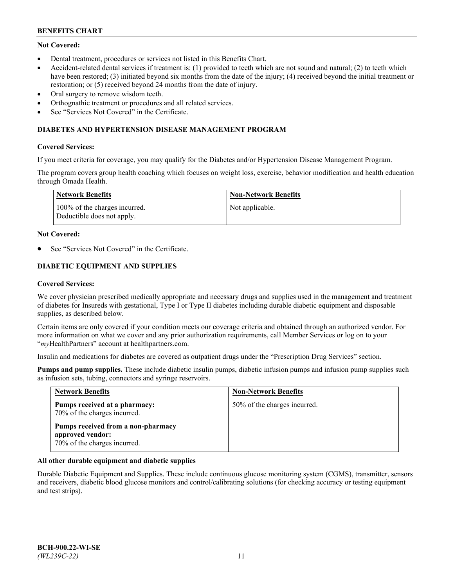# **Not Covered:**

- Dental treatment, procedures or services not listed in this Benefits Chart.
- Accident-related dental services if treatment is: (1) provided to teeth which are not sound and natural; (2) to teeth which have been restored; (3) initiated beyond six months from the date of the injury; (4) received beyond the initial treatment or restoration; or (5) received beyond 24 months from the date of injury.
- Oral surgery to remove wisdom teeth.
- Orthognathic treatment or procedures and all related services.
- See "Services Not Covered" in the Certificate.

### **DIABETES AND HYPERTENSION DISEASE MANAGEMENT PROGRAM**

### **Covered Services:**

If you meet criteria for coverage, you may qualify for the Diabetes and/or Hypertension Disease Management Program.

The program covers group health coaching which focuses on weight loss, exercise, behavior modification and health education through Omada Health.

| Network Benefits                                            | Non-Network Benefits |
|-------------------------------------------------------------|----------------------|
| 100% of the charges incurred.<br>Deductible does not apply. | Not applicable.      |

#### **Not Covered:**

See "Services Not Covered" in the Certificate.

# **DIABETIC EQUIPMENT AND SUPPLIES**

### **Covered Services:**

We cover physician prescribed medically appropriate and necessary drugs and supplies used in the management and treatment of diabetes for Insureds with gestational, Type I or Type II diabetes including durable diabetic equipment and disposable supplies, as described below.

Certain items are only covered if your condition meets our coverage criteria and obtained through an authorized vendor. For more information on what we cover and any prior authorization requirements, call Member Services or log on to your "*my*HealthPartners" account at [healthpartners.com.](http://www.healthpartners.com/)

Insulin and medications for diabetes are covered as outpatient drugs under the "Prescription Drug Services" section.

**Pumps and pump supplies.** These include diabetic insulin pumps, diabetic infusion pumps and infusion pump supplies such as infusion sets, tubing, connectors and syringe reservoirs.

| <b>Network Benefits</b>                                                                | <b>Non-Network Benefits</b>  |
|----------------------------------------------------------------------------------------|------------------------------|
| Pumps received at a pharmacy:<br>70% of the charges incurred.                          | 50% of the charges incurred. |
| Pumps received from a non-pharmacy<br>approved vendor:<br>70% of the charges incurred. |                              |

### **All other durable equipment and diabetic supplies**

Durable Diabetic Equipment and Supplies. These include continuous glucose monitoring system (CGMS), transmitter, sensors and receivers, diabetic blood glucose monitors and control/calibrating solutions (for checking accuracy or testing equipment and test strips).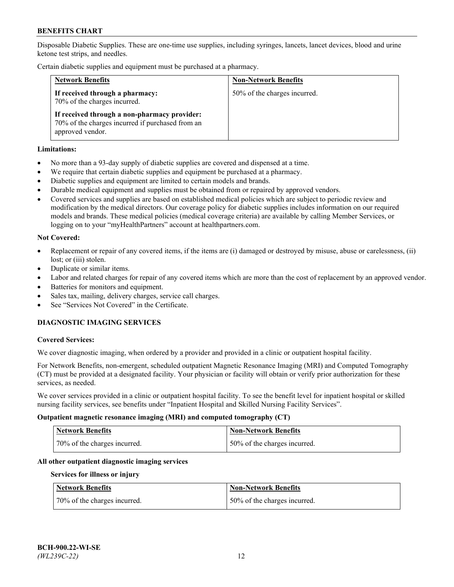Disposable Diabetic Supplies. These are one-time use supplies, including syringes, lancets, lancet devices, blood and urine ketone test strips, and needles.

Certain diabetic supplies and equipment must be purchased at a pharmacy.

| <b>Network Benefits</b>                                                                                              | <b>Non-Network Benefits</b>  |
|----------------------------------------------------------------------------------------------------------------------|------------------------------|
| If received through a pharmacy:<br>70% of the charges incurred.                                                      | 50% of the charges incurred. |
| If received through a non-pharmacy provider:<br>70% of the charges incurred if purchased from an<br>approved vendor. |                              |

### **Limitations:**

- No more than a 93-day supply of diabetic supplies are covered and dispensed at a time.
- We require that certain diabetic supplies and equipment be purchased at a pharmacy.
- Diabetic supplies and equipment are limited to certain models and brands.
- Durable medical equipment and supplies must be obtained from or repaired by approved vendors.
- Covered services and supplies are based on established medical policies which are subject to periodic review and modification by the medical directors. Our coverage policy for diabetic supplies includes information on our required models and brands. These medical policies (medical coverage criteria) are available by calling Member Services, or logging on to your "myHealthPartners" account at [healthpartners.com.](http://www.healthpartners.com/)

### **Not Covered:**

- Replacement or repair of any covered items, if the items are (i) damaged or destroyed by misuse, abuse or carelessness, (ii) lost; or (iii) stolen.
- Duplicate or similar items.
- Labor and related charges for repair of any covered items which are more than the cost of replacement by an approved vendor.
- Batteries for monitors and equipment.
- Sales tax, mailing, delivery charges, service call charges.
- See "Services Not Covered" in the Certificate.

# **DIAGNOSTIC IMAGING SERVICES**

#### **Covered Services:**

We cover diagnostic imaging, when ordered by a provider and provided in a clinic or outpatient hospital facility.

For Network Benefits, non-emergent, scheduled outpatient Magnetic Resonance Imaging (MRI) and Computed Tomography (CT) must be provided at a designated facility. Your physician or facility will obtain or verify prior authorization for these services, as needed.

We cover services provided in a clinic or outpatient hospital facility. To see the benefit level for inpatient hospital or skilled nursing facility services, see benefits under "Inpatient Hospital and Skilled Nursing Facility Services".

#### **Outpatient magnetic resonance imaging (MRI) and computed tomography (CT)**

| <b>Network Benefits</b>      | <b>Non-Network Benefits</b>  |
|------------------------------|------------------------------|
| 70% of the charges incurred. | 50% of the charges incurred. |

### **All other outpatient diagnostic imaging services**

#### **Services for illness or injury**

| <b>Network Benefits</b>      | <b>Non-Network Benefits</b>  |
|------------------------------|------------------------------|
| 70% of the charges incurred. | 50% of the charges incurred. |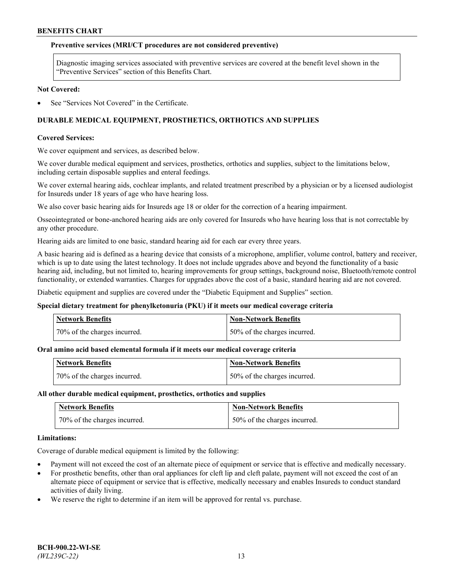#### **Preventive services (MRI/CT procedures are not considered preventive)**

Diagnostic imaging services associated with preventive services are covered at the benefit level shown in the "Preventive Services" section of this Benefits Chart.

#### **Not Covered:**

See "Services Not Covered" in the Certificate.

# **DURABLE MEDICAL EQUIPMENT, PROSTHETICS, ORTHOTICS AND SUPPLIES**

#### **Covered Services:**

We cover equipment and services, as described below.

We cover durable medical equipment and services, prosthetics, orthotics and supplies, subject to the limitations below, including certain disposable supplies and enteral feedings.

We cover external hearing aids, cochlear implants, and related treatment prescribed by a physician or by a licensed audiologist for Insureds under 18 years of age who have hearing loss.

We also cover basic hearing aids for Insureds age 18 or older for the correction of a hearing impairment.

Osseointegrated or bone-anchored hearing aids are only covered for Insureds who have hearing loss that is not correctable by any other procedure.

Hearing aids are limited to one basic, standard hearing aid for each ear every three years.

A basic hearing aid is defined as a hearing device that consists of a microphone, amplifier, volume control, battery and receiver, which is up to date using the latest technology. It does not include upgrades above and beyond the functionality of a basic hearing aid, including, but not limited to, hearing improvements for group settings, background noise, Bluetooth/remote control functionality, or extended warranties. Charges for upgrades above the cost of a basic, standard hearing aid are not covered.

Diabetic equipment and supplies are covered under the "Diabetic Equipment and Supplies" section.

#### **Special dietary treatment for phenylketonuria (PKU) if it meets our medical coverage criteria**

| <b>Network Benefits</b>      | <b>Non-Network Benefits</b>  |
|------------------------------|------------------------------|
| 70% of the charges incurred. | 50% of the charges incurred. |

#### **Oral amino acid based elemental formula if it meets our medical coverage criteria**

| <b>Network Benefits</b>      | Non-Network Benefits         |
|------------------------------|------------------------------|
| 70% of the charges incurred. | 50% of the charges incurred. |

#### **All other durable medical equipment, prosthetics, orthotics and supplies**

| <b>Network Benefits</b>      | <b>Non-Network Benefits</b>  |
|------------------------------|------------------------------|
| 70% of the charges incurred. | 50% of the charges incurred. |

#### **Limitations:**

Coverage of durable medical equipment is limited by the following:

- Payment will not exceed the cost of an alternate piece of equipment or service that is effective and medically necessary.
- For prosthetic benefits, other than oral appliances for cleft lip and cleft palate, payment will not exceed the cost of an alternate piece of equipment or service that is effective, medically necessary and enables Insureds to conduct standard activities of daily living.
- We reserve the right to determine if an item will be approved for rental vs. purchase.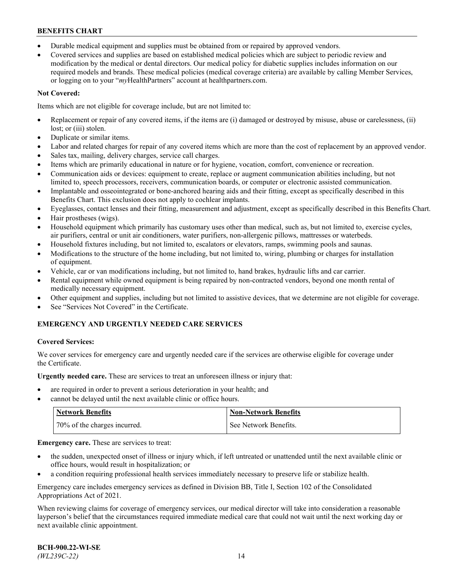- Durable medical equipment and supplies must be obtained from or repaired by approved vendors.
- Covered services and supplies are based on established medical policies which are subject to periodic review and modification by the medical or dental directors. Our medical policy for diabetic supplies includes information on our required models and brands. These medical policies (medical coverage criteria) are available by calling Member Services, or logging on to your "*my*HealthPartners" account a[t healthpartners.com.](http://www.healthpartners.com/)

# **Not Covered:**

Items which are not eligible for coverage include, but are not limited to:

- Replacement or repair of any covered items, if the items are (i) damaged or destroyed by misuse, abuse or carelessness, (ii) lost; or (iii) stolen.
- Duplicate or similar items.
- Labor and related charges for repair of any covered items which are more than the cost of replacement by an approved vendor.
- Sales tax, mailing, delivery charges, service call charges.
- Items which are primarily educational in nature or for hygiene, vocation, comfort, convenience or recreation.
- Communication aids or devices: equipment to create, replace or augment communication abilities including, but not limited to, speech processors, receivers, communication boards, or computer or electronic assisted communication.
- Implantable and osseointegrated or bone-anchored hearing aids and their fitting, except as specifically described in this Benefits Chart. This exclusion does not apply to cochlear implants.
- Eyeglasses, contact lenses and their fitting, measurement and adjustment, except as specifically described in this Benefits Chart.
- Hair prostheses (wigs).
- Household equipment which primarily has customary uses other than medical, such as, but not limited to, exercise cycles, air purifiers, central or unit air conditioners, water purifiers, non-allergenic pillows, mattresses or waterbeds.
- Household fixtures including, but not limited to, escalators or elevators, ramps, swimming pools and saunas.
- Modifications to the structure of the home including, but not limited to, wiring, plumbing or charges for installation of equipment.
- Vehicle, car or van modifications including, but not limited to, hand brakes, hydraulic lifts and car carrier.
- Rental equipment while owned equipment is being repaired by non-contracted vendors, beyond one month rental of medically necessary equipment.
- Other equipment and supplies, including but not limited to assistive devices, that we determine are not eligible for coverage.
- See "Services Not Covered" in the Certificate.

# **EMERGENCY AND URGENTLY NEEDED CARE SERVICES**

### **Covered Services:**

We cover services for emergency care and urgently needed care if the services are otherwise eligible for coverage under the Certificate.

**Urgently needed care.** These are services to treat an unforeseen illness or injury that:

- are required in order to prevent a serious deterioration in your health; and
- cannot be delayed until the next available clinic or office hours.

| <b>Network Benefits</b>      | <b>Non-Network Benefits</b> |
|------------------------------|-----------------------------|
| 70% of the charges incurred. | See Network Benefits.       |

**Emergency care.** These are services to treat:

- the sudden, unexpected onset of illness or injury which, if left untreated or unattended until the next available clinic or office hours, would result in hospitalization; or
- a condition requiring professional health services immediately necessary to preserve life or stabilize health.

Emergency care includes emergency services as defined in Division BB, Title I, Section 102 of the Consolidated Appropriations Act of 2021.

When reviewing claims for coverage of emergency services, our medical director will take into consideration a reasonable layperson's belief that the circumstances required immediate medical care that could not wait until the next working day or next available clinic appointment.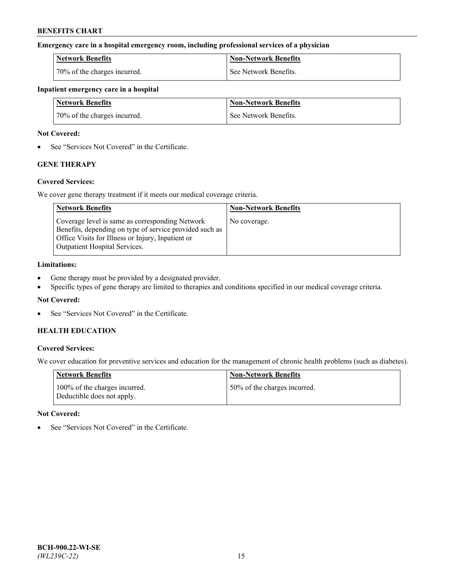### **Emergency care in a hospital emergency room, including professional services of a physician**

| <b>Network Benefits</b>      | <b>Non-Network Benefits</b> |
|------------------------------|-----------------------------|
| 70% of the charges incurred. | See Network Benefits.       |

### **Inpatient emergency care in a hospital**

| <b>Network Benefits</b>      | Non-Network Benefits  |
|------------------------------|-----------------------|
| 70% of the charges incurred. | See Network Benefits. |

### **Not Covered:**

• See "Services Not Covered" in the Certificate.

# **GENE THERAPY**

### **Covered Services:**

We cover gene therapy treatment if it meets our medical coverage criteria.

| <b>Network Benefits</b>                                                                                                                                                                                 | <b>Non-Network Benefits</b> |
|---------------------------------------------------------------------------------------------------------------------------------------------------------------------------------------------------------|-----------------------------|
| Coverage level is same as corresponding Network<br>Benefits, depending on type of service provided such as<br>Office Visits for Illness or Injury, Inpatient or<br><b>Outpatient Hospital Services.</b> | No coverage.                |

### **Limitations:**

- Gene therapy must be provided by a designated provider.
- Specific types of gene therapy are limited to therapies and conditions specified in our medical coverage criteria.

### **Not Covered:**

See "Services Not Covered" in the Certificate.

# **HEALTH EDUCATION**

### **Covered Services:**

We cover education for preventive services and education for the management of chronic health problems (such as diabetes).

| <b>Network Benefits</b>                                     | <b>Non-Network Benefits</b>  |
|-------------------------------------------------------------|------------------------------|
| 100% of the charges incurred.<br>Deductible does not apply. | 50% of the charges incurred. |

#### **Not Covered:**

See "Services Not Covered" in the Certificate.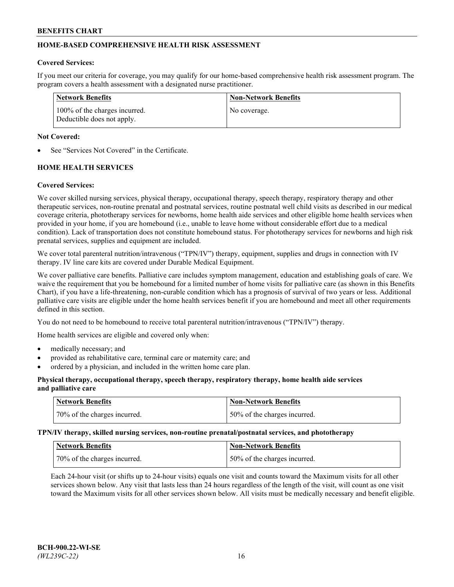# **HOME-BASED COMPREHENSIVE HEALTH RISK ASSESSMENT**

### **Covered Services:**

If you meet our criteria for coverage, you may qualify for our home-based comprehensive health risk assessment program. The program covers a health assessment with a designated nurse practitioner.

| Network Benefits                                            | <b>Non-Network Benefits</b> |
|-------------------------------------------------------------|-----------------------------|
| 100% of the charges incurred.<br>Deductible does not apply. | No coverage.                |

### **Not Covered:**

See "Services Not Covered" in the Certificate.

# **HOME HEALTH SERVICES**

### **Covered Services:**

We cover skilled nursing services, physical therapy, occupational therapy, speech therapy, respiratory therapy and other therapeutic services, non-routine prenatal and postnatal services, routine postnatal well child visits as described in our medical coverage criteria, phototherapy services for newborns, home health aide services and other eligible home health services when provided in your home, if you are homebound (i.e., unable to leave home without considerable effort due to a medical condition). Lack of transportation does not constitute homebound status. For phototherapy services for newborns and high risk prenatal services, supplies and equipment are included.

We cover total parenteral nutrition/intravenous ("TPN/IV") therapy, equipment, supplies and drugs in connection with IV therapy. IV line care kits are covered under Durable Medical Equipment.

We cover palliative care benefits. Palliative care includes symptom management, education and establishing goals of care. We waive the requirement that you be homebound for a limited number of home visits for palliative care (as shown in this Benefits Chart), if you have a life-threatening, non-curable condition which has a prognosis of survival of two years or less. Additional palliative care visits are eligible under the home health services benefit if you are homebound and meet all other requirements defined in this section.

You do not need to be homebound to receive total parenteral nutrition/intravenous ("TPN/IV") therapy.

Home health services are eligible and covered only when:

- medically necessary; and
- provided as rehabilitative care, terminal care or maternity care; and
- ordered by a physician, and included in the written home care plan.

### **Physical therapy, occupational therapy, speech therapy, respiratory therapy, home health aide services and palliative care**

| <b>Network Benefits</b>      | <b>Non-Network Benefits</b>  |
|------------------------------|------------------------------|
| 70% of the charges incurred. | 50% of the charges incurred. |

**TPN/IV therapy, skilled nursing services, non-routine prenatal/postnatal services, and phototherapy**

| <b>Network Benefits</b>      | Non-Network Benefits         |
|------------------------------|------------------------------|
| 70% of the charges incurred. | 50% of the charges incurred. |

Each 24-hour visit (or shifts up to 24-hour visits) equals one visit and counts toward the Maximum visits for all other services shown below. Any visit that lasts less than 24 hours regardless of the length of the visit, will count as one visit toward the Maximum visits for all other services shown below. All visits must be medically necessary and benefit eligible.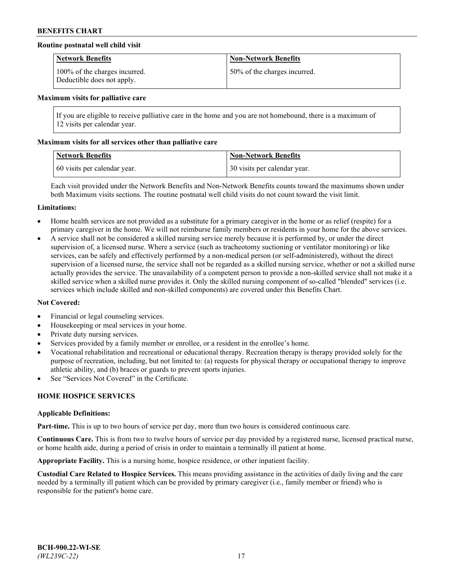### **Routine postnatal well child visit**

| <b>Network Benefits</b>                                     | <b>Non-Network Benefits</b>  |
|-------------------------------------------------------------|------------------------------|
| 100% of the charges incurred.<br>Deductible does not apply. | 50% of the charges incurred. |

#### **Maximum visits for palliative care**

If you are eligible to receive palliative care in the home and you are not homebound, there is a maximum of 12 visits per calendar year.

### **Maximum visits for all services other than palliative care**

| <b>Network Benefits</b>      | <b>Non-Network Benefits</b>  |
|------------------------------|------------------------------|
| 60 visits per calendar year. | 30 visits per calendar year. |

Each visit provided under the Network Benefits and Non-Network Benefits counts toward the maximums shown under both Maximum visits sections. The routine postnatal well child visits do not count toward the visit limit.

#### **Limitations:**

- Home health services are not provided as a substitute for a primary caregiver in the home or as relief (respite) for a primary caregiver in the home. We will not reimburse family members or residents in your home for the above services.
- A service shall not be considered a skilled nursing service merely because it is performed by, or under the direct supervision of, a licensed nurse. Where a service (such as tracheotomy suctioning or ventilator monitoring) or like services, can be safely and effectively performed by a non-medical person (or self-administered), without the direct supervision of a licensed nurse, the service shall not be regarded as a skilled nursing service, whether or not a skilled nurse actually provides the service. The unavailability of a competent person to provide a non-skilled service shall not make it a skilled service when a skilled nurse provides it. Only the skilled nursing component of so-called "blended" services (i.e. services which include skilled and non-skilled components) are covered under this Benefits Chart.

#### **Not Covered:**

- Financial or legal counseling services.
- Housekeeping or meal services in your home.
- Private duty nursing services.
- Services provided by a family member or enrollee, or a resident in the enrollee's home.
- Vocational rehabilitation and recreational or educational therapy. Recreation therapy is therapy provided solely for the purpose of recreation, including, but not limited to: (a) requests for physical therapy or occupational therapy to improve athletic ability, and (b) braces or guards to prevent sports injuries.
- See "Services Not Covered" in the Certificate.

# **HOME HOSPICE SERVICES**

#### **Applicable Definitions:**

**Part-time.** This is up to two hours of service per day, more than two hours is considered continuous care.

**Continuous Care.** This is from two to twelve hours of service per day provided by a registered nurse, licensed practical nurse, or home health aide, during a period of crisis in order to maintain a terminally ill patient at home.

**Appropriate Facility.** This is a nursing home, hospice residence, or other inpatient facility.

**Custodial Care Related to Hospice Services.** This means providing assistance in the activities of daily living and the care needed by a terminally ill patient which can be provided by primary caregiver (i.e., family member or friend) who is responsible for the patient's home care.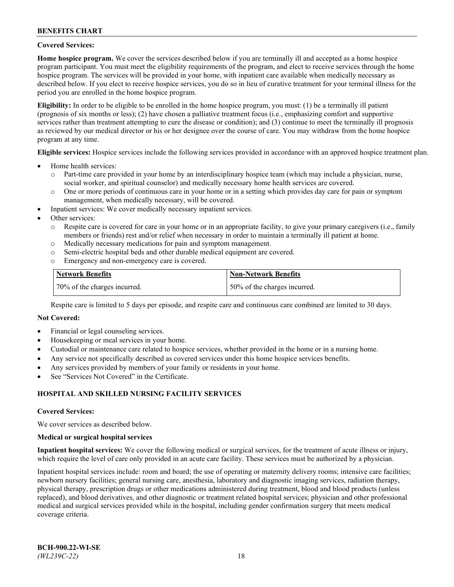### **Covered Services:**

**Home hospice program.** We cover the services described below if you are terminally ill and accepted as a home hospice program participant. You must meet the eligibility requirements of the program, and elect to receive services through the home hospice program. The services will be provided in your home, with inpatient care available when medically necessary as described below. If you elect to receive hospice services, you do so in lieu of curative treatment for your terminal illness for the period you are enrolled in the home hospice program.

**Eligibility:** In order to be eligible to be enrolled in the home hospice program, you must: (1) be a terminally ill patient (prognosis of six months or less); (2) have chosen a palliative treatment focus (i.e., emphasizing comfort and supportive services rather than treatment attempting to cure the disease or condition); and (3) continue to meet the terminally ill prognosis as reviewed by our medical director or his or her designee over the course of care. You may withdraw from the home hospice program at any time.

**Eligible services:** Hospice services include the following services provided in accordance with an approved hospice treatment plan.

- Home health services:
	- o Part-time care provided in your home by an interdisciplinary hospice team (which may include a physician, nurse, social worker, and spiritual counselor) and medically necessary home health services are covered.
	- o One or more periods of continuous care in your home or in a setting which provides day care for pain or symptom management, when medically necessary, will be covered.
- Inpatient services: We cover medically necessary inpatient services.
- Other services:
	- o Respite care is covered for care in your home or in an appropriate facility, to give your primary caregivers (i.e., family members or friends) rest and/or relief when necessary in order to maintain a terminally ill patient at home.
	- o Medically necessary medications for pain and symptom management.
	- o Semi-electric hospital beds and other durable medical equipment are covered.
	- Emergency and non-emergency care is covered.

| Network Benefits             | <b>Non-Network Benefits</b>  |
|------------------------------|------------------------------|
| 70% of the charges incurred. | 50% of the charges incurred. |

Respite care is limited to 5 days per episode, and respite care and continuous care combined are limited to 30 days.

### **Not Covered:**

- Financial or legal counseling services.
- Housekeeping or meal services in your home.
- Custodial or maintenance care related to hospice services, whether provided in the home or in a nursing home.
- Any service not specifically described as covered services under this home hospice services benefits.
- Any services provided by members of your family or residents in your home.
- See "Services Not Covered" in the Certificate.

### **HOSPITAL AND SKILLED NURSING FACILITY SERVICES**

#### **Covered Services:**

We cover services as described below.

#### **Medical or surgical hospital services**

**Inpatient hospital services:** We cover the following medical or surgical services, for the treatment of acute illness or injury, which require the level of care only provided in an acute care facility. These services must be authorized by a physician.

Inpatient hospital services include: room and board; the use of operating or maternity delivery rooms; intensive care facilities; newborn nursery facilities; general nursing care, anesthesia, laboratory and diagnostic imaging services, radiation therapy, physical therapy, prescription drugs or other medications administered during treatment, blood and blood products (unless replaced), and blood derivatives, and other diagnostic or treatment related hospital services; physician and other professional medical and surgical services provided while in the hospital, including gender confirmation surgery that meets medical coverage criteria.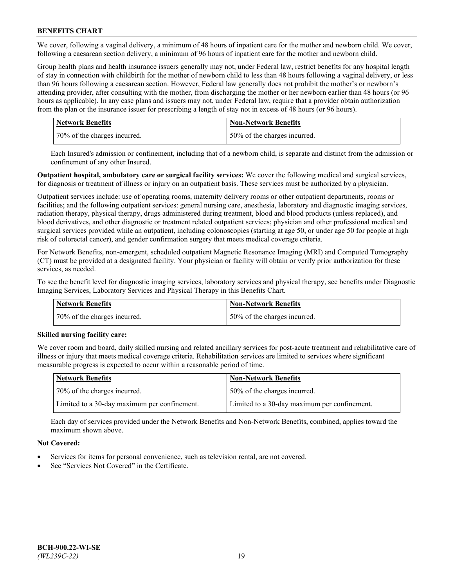We cover, following a vaginal delivery, a minimum of 48 hours of inpatient care for the mother and newborn child. We cover, following a caesarean section delivery, a minimum of 96 hours of inpatient care for the mother and newborn child.

Group health plans and health insurance issuers generally may not, under Federal law, restrict benefits for any hospital length of stay in connection with childbirth for the mother of newborn child to less than 48 hours following a vaginal delivery, or less than 96 hours following a caesarean section. However, Federal law generally does not prohibit the mother's or newborn's attending provider, after consulting with the mother, from discharging the mother or her newborn earlier than 48 hours (or 96 hours as applicable). In any case plans and issuers may not, under Federal law, require that a provider obtain authorization from the plan or the insurance issuer for prescribing a length of stay not in excess of 48 hours (or 96 hours).

| <b>Network Benefits</b>      | <b>Non-Network Benefits</b>  |
|------------------------------|------------------------------|
| 70% of the charges incurred. | 50% of the charges incurred. |

Each Insured's admission or confinement, including that of a newborn child, is separate and distinct from the admission or confinement of any other Insured.

**Outpatient hospital, ambulatory care or surgical facility services:** We cover the following medical and surgical services, for diagnosis or treatment of illness or injury on an outpatient basis. These services must be authorized by a physician.

Outpatient services include: use of operating rooms, maternity delivery rooms or other outpatient departments, rooms or facilities; and the following outpatient services: general nursing care, anesthesia, laboratory and diagnostic imaging services, radiation therapy, physical therapy, drugs administered during treatment, blood and blood products (unless replaced), and blood derivatives, and other diagnostic or treatment related outpatient services; physician and other professional medical and surgical services provided while an outpatient, including colonoscopies (starting at age 50, or under age 50 for people at high risk of colorectal cancer), and gender confirmation surgery that meets medical coverage criteria.

For Network Benefits, non-emergent, scheduled outpatient Magnetic Resonance Imaging (MRI) and Computed Tomography (CT) must be provided at a designated facility. Your physician or facility will obtain or verify prior authorization for these services, as needed.

To see the benefit level for diagnostic imaging services, laboratory services and physical therapy, see benefits under Diagnostic Imaging Services, Laboratory Services and Physical Therapy in this Benefits Chart.

| <b>Network Benefits</b>      | <b>Non-Network Benefits</b>  |
|------------------------------|------------------------------|
| 70% of the charges incurred. | 50% of the charges incurred. |

### **Skilled nursing facility care:**

We cover room and board, daily skilled nursing and related ancillary services for post-acute treatment and rehabilitative care of illness or injury that meets medical coverage criteria. Rehabilitation services are limited to services where significant measurable progress is expected to occur within a reasonable period of time.

| Network Benefits                             | <b>Non-Network Benefits</b>                  |
|----------------------------------------------|----------------------------------------------|
| 70% of the charges incurred.                 | 50% of the charges incurred.                 |
| Limited to a 30-day maximum per confinement. | Limited to a 30-day maximum per confinement. |

Each day of services provided under the Network Benefits and Non-Network Benefits, combined, applies toward the maximum shown above.

### **Not Covered:**

- Services for items for personal convenience, such as television rental, are not covered.
- See "Services Not Covered" in the Certificate.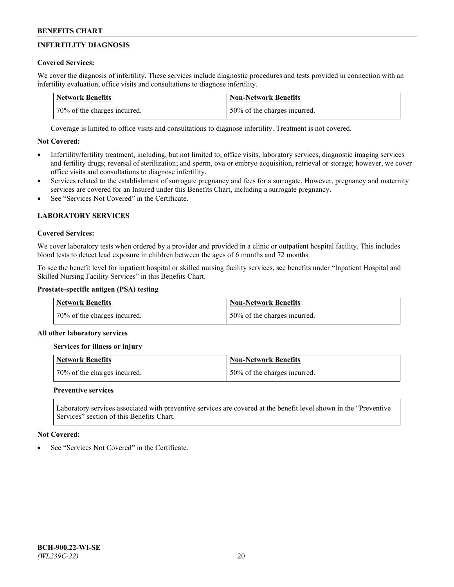# **INFERTILITY DIAGNOSIS**

# **Covered Services:**

We cover the diagnosis of infertility. These services include diagnostic procedures and tests provided in connection with an infertility evaluation, office visits and consultations to diagnose infertility.

| <b>Network Benefits</b>      | <b>Non-Network Benefits</b>  |
|------------------------------|------------------------------|
| 70% of the charges incurred. | 50% of the charges incurred. |

Coverage is limited to office visits and consultations to diagnose infertility. Treatment is not covered.

# **Not Covered:**

- Infertility/fertility treatment, including, but not limited to, office visits, laboratory services, diagnostic imaging services and fertility drugs; reversal of sterilization; and sperm, ova or embryo acquisition, retrieval or storage; however, we cover office visits and consultations to diagnose infertility.
- Services related to the establishment of surrogate pregnancy and fees for a surrogate. However, pregnancy and maternity services are covered for an Insured under this Benefits Chart, including a surrogate pregnancy.
- See "Services Not Covered" in the Certificate

# **LABORATORY SERVICES**

### **Covered Services:**

We cover laboratory tests when ordered by a provider and provided in a clinic or outpatient hospital facility. This includes blood tests to detect lead exposure in children between the ages of 6 months and 72 months.

To see the benefit level for inpatient hospital or skilled nursing facility services, see benefits under "Inpatient Hospital and Skilled Nursing Facility Services" in this Benefits Chart.

# **Prostate-specific antigen (PSA) testing**

| Network Benefits             | <b>Non-Network Benefits</b>  |
|------------------------------|------------------------------|
| 70% of the charges incurred. | 50% of the charges incurred. |

### **All other laboratory services**

**Services for illness or injury**

| <b>Network Benefits</b>      | Non-Network Benefits         |
|------------------------------|------------------------------|
| 70% of the charges incurred. | 50% of the charges incurred. |

### **Preventive services**

Laboratory services associated with preventive services are covered at the benefit level shown in the "Preventive Services" section of this Benefits Chart.

### **Not Covered:**

See "Services Not Covered" in the Certificate.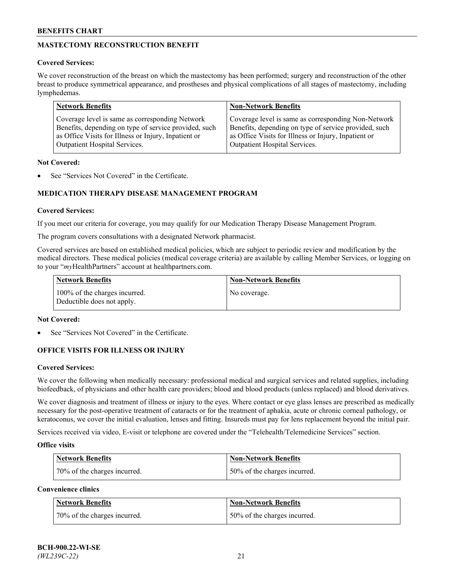# **MASTECTOMY RECONSTRUCTION BENEFIT**

### **Covered Services:**

We cover reconstruction of the breast on which the mastectomy has been performed; surgery and reconstruction of the other breast to produce symmetrical appearance, and prostheses and physical complications of all stages of mastectomy, including lymphedemas.

| <b>Network Benefits</b>                               | <b>Non-Network Benefits</b>                           |
|-------------------------------------------------------|-------------------------------------------------------|
| Coverage level is same as corresponding Network       | Coverage level is same as corresponding Non-Network   |
| Benefits, depending on type of service provided, such | Benefits, depending on type of service provided, such |
| as Office Visits for Illness or Injury, Inpatient or  | as Office Visits for Illness or Injury, Inpatient or  |
| Outpatient Hospital Services.                         | Outpatient Hospital Services.                         |

### **Not Covered:**

See "Services Not Covered" in the Certificate.

# **MEDICATION THERAPY DISEASE MANAGEMENT PROGRAM**

### **Covered Services:**

If you meet our criteria for coverage, you may qualify for our Medication Therapy Disease Management Program.

The program covers consultations with a designated Network pharmacist.

Covered services are based on established medical policies, which are subject to periodic review and modification by the medical directors. These medical policies (medical coverage criteria) are available by calling Member Services, or logging on to your "*my*HealthPartners" account at [healthpartners.com.](http://www.healthpartners.com/)

| Network Benefits                                            | <b>Non-Network Benefits</b> |
|-------------------------------------------------------------|-----------------------------|
| 100% of the charges incurred.<br>Deductible does not apply. | No coverage.                |

### **Not Covered:**

See "Services Not Covered" in the Certificate.

### **OFFICE VISITS FOR ILLNESS OR INJURY**

#### **Covered Services:**

We cover the following when medically necessary: professional medical and surgical services and related supplies, including biofeedback, of physicians and other health care providers; blood and blood products (unless replaced) and blood derivatives.

We cover diagnosis and treatment of illness or injury to the eyes. Where contact or eye glass lenses are prescribed as medically necessary for the post-operative treatment of cataracts or for the treatment of aphakia, acute or chronic corneal pathology, or keratoconus, we cover the initial evaluation, lenses and fitting. Insureds must pay for lens replacement beyond the initial pair.

Services received via video, E-visit or telephone are covered under the "Telehealth/Telemedicine Services" section.

#### **Office visits**

| <b>Network Benefits</b>      | <b>Non-Network Benefits</b>  |
|------------------------------|------------------------------|
| 70% of the charges incurred. | 50% of the charges incurred. |

**Convenience clinics**

| <b>Network Benefits</b>      | <b>Non-Network Benefits</b>  |
|------------------------------|------------------------------|
| 70% of the charges incurred. | 50% of the charges incurred. |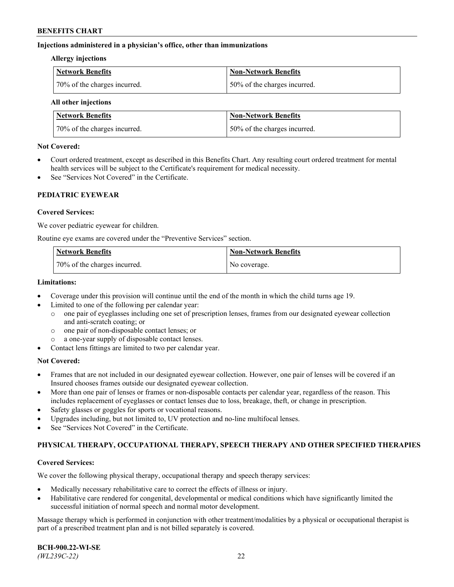### **Injections administered in a physician's office, other than immunizations**

#### **Allergy injections**

| Network Benefits             | Non-Network Benefits         |
|------------------------------|------------------------------|
| 70% of the charges incurred. | 50% of the charges incurred. |

#### **All other injections**

| <b>Network Benefits</b>      | <b>Non-Network Benefits</b>  |
|------------------------------|------------------------------|
| 70% of the charges incurred. | 50% of the charges incurred. |

### **Not Covered:**

- Court ordered treatment, except as described in this Benefits Chart. Any resulting court ordered treatment for mental health services will be subject to the Certificate's requirement for medical necessity.
- See "Services Not Covered" in the Certificate.

### **PEDIATRIC EYEWEAR**

### **Covered Services:**

We cover pediatric eyewear for children.

Routine eye exams are covered under the "Preventive Services" section.

| <b>Network Benefits</b>      | <b>Non-Network Benefits</b> |
|------------------------------|-----------------------------|
| 70% of the charges incurred. | No coverage.                |

### **Limitations:**

- Coverage under this provision will continue until the end of the month in which the child turns age 19.
- Limited to one of the following per calendar year:
	- o one pair of eyeglasses including one set of prescription lenses, frames from our designated eyewear collection and anti-scratch coating; or
	- o one pair of non-disposable contact lenses; or
	- o a one-year supply of disposable contact lenses.
- Contact lens fittings are limited to two per calendar year.

### **Not Covered:**

- Frames that are not included in our designated eyewear collection. However, one pair of lenses will be covered if an Insured chooses frames outside our designated eyewear collection.
- More than one pair of lenses or frames or non-disposable contacts per calendar year, regardless of the reason. This includes replacement of eyeglasses or contact lenses due to loss, breakage, theft, or change in prescription.
- Safety glasses or goggles for sports or vocational reasons.
- Upgrades including, but not limited to, UV protection and no-line multifocal lenses.
- See "Services Not Covered" in the Certificate.

### **PHYSICAL THERAPY, OCCUPATIONAL THERAPY, SPEECH THERAPY AND OTHER SPECIFIED THERAPIES**

#### **Covered Services:**

We cover the following physical therapy, occupational therapy and speech therapy services:

- Medically necessary rehabilitative care to correct the effects of illness or injury.
- Habilitative care rendered for congenital, developmental or medical conditions which have significantly limited the successful initiation of normal speech and normal motor development.

Massage therapy which is performed in conjunction with other treatment/modalities by a physical or occupational therapist is part of a prescribed treatment plan and is not billed separately is covered.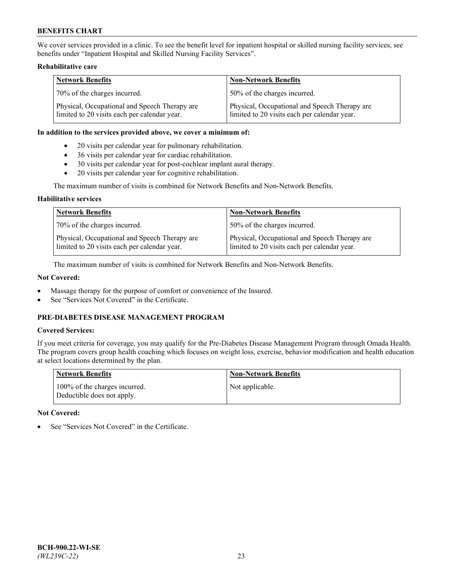We cover services provided in a clinic. To see the benefit level for inpatient hospital or skilled nursing facility services, see benefits under "Inpatient Hospital and Skilled Nursing Facility Services".

### **Rehabilitative care**

| <b>Network Benefits</b>                                                                       | <b>Non-Network Benefits</b>                                                                   |
|-----------------------------------------------------------------------------------------------|-----------------------------------------------------------------------------------------------|
| 70% of the charges incurred.                                                                  | 50% of the charges incurred.                                                                  |
| Physical, Occupational and Speech Therapy are<br>limited to 20 visits each per calendar year. | Physical, Occupational and Speech Therapy are<br>limited to 20 visits each per calendar year. |

#### **In addition to the services provided above, we cover a minimum of:**

- 20 visits per calendar year for pulmonary rehabilitation.
- 36 visits per calendar year for cardiac rehabilitation.
- 30 visits per calendar year for post-cochlear implant aural therapy.
- 20 visits per calendar year for cognitive rehabilitation.

The maximum number of visits is combined for Network Benefits and Non-Network Benefits.

### **Habilitative services**

| <b>Network Benefits</b>                                                                       | <b>Non-Network Benefits</b>                                                                   |
|-----------------------------------------------------------------------------------------------|-----------------------------------------------------------------------------------------------|
| 70% of the charges incurred.                                                                  | 50% of the charges incurred.                                                                  |
| Physical, Occupational and Speech Therapy are<br>limited to 20 visits each per calendar year. | Physical, Occupational and Speech Therapy are<br>limited to 20 visits each per calendar year. |

The maximum number of visits is combined for Network Benefits and Non-Network Benefits.

### **Not Covered:**

- Massage therapy for the purpose of comfort or convenience of the Insured.
- See "Services Not Covered" in the Certificate.

# **PRE-DIABETES DISEASE MANAGEMENT PROGRAM**

# **Covered Services:**

If you meet criteria for coverage, you may qualify for the Pre-Diabetes Disease Management Program through Omada Health. The program covers group health coaching which focuses on weight loss, exercise, behavior modification and health education at select locations determined by the plan.

| <b>Network Benefits</b>                                     | <b>Non-Network Benefits</b> |
|-------------------------------------------------------------|-----------------------------|
| 100% of the charges incurred.<br>Deductible does not apply. | Not applicable.             |

### **Not Covered:**

See "Services Not Covered" in the Certificate.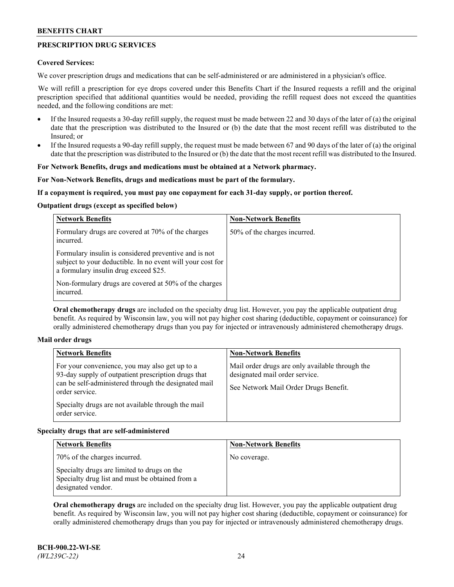# **PRESCRIPTION DRUG SERVICES**

### **Covered Services:**

We cover prescription drugs and medications that can be self-administered or are administered in a physician's office.

We will refill a prescription for eye drops covered under this Benefits Chart if the Insured requests a refill and the original prescription specified that additional quantities would be needed, providing the refill request does not exceed the quantities needed, and the following conditions are met:

- If the Insured requests a 30-day refill supply, the request must be made between 22 and 30 days of the later of (a) the original date that the prescription was distributed to the Insured or (b) the date that the most recent refill was distributed to the Insured; or
- If the Insured requests a 90-day refill supply, the request must be made between 67 and 90 days of the later of (a) the original date that the prescription was distributed to the Insured or (b) the date that the most recent refill was distributed to the Insured.

## **For Network Benefits, drugs and medications must be obtained at a Network pharmacy.**

### **For Non-Network Benefits, drugs and medications must be part of the formulary.**

### **If a copayment is required, you must pay one copayment for each 31-day supply, or portion thereof.**

### **Outpatient drugs (except as specified below)**

| <b>Network Benefits</b>                                                                                                                                      | <b>Non-Network Benefits</b>  |
|--------------------------------------------------------------------------------------------------------------------------------------------------------------|------------------------------|
| Formulary drugs are covered at 70% of the charges<br>incurred.                                                                                               | 50% of the charges incurred. |
| Formulary insulin is considered preventive and is not<br>subject to your deductible. In no event will your cost for<br>a formulary insulin drug exceed \$25. |                              |
| Non-formulary drugs are covered at 50% of the charges<br>incurred.                                                                                           |                              |

**Oral chemotherapy drugs** are included on the specialty drug list. However, you pay the applicable outpatient drug benefit. As required by Wisconsin law, you will not pay higher cost sharing (deductible, copayment or coinsurance) for orally administered chemotherapy drugs than you pay for injected or intravenously administered chemotherapy drugs.

#### **Mail order drugs**

| For your convenience, you may also get up to a                                                                                                                                                        |                                                                                                                            |
|-------------------------------------------------------------------------------------------------------------------------------------------------------------------------------------------------------|----------------------------------------------------------------------------------------------------------------------------|
| 93-day supply of outpatient prescription drugs that<br>can be self-administered through the designated mail<br>order service.<br>Specialty drugs are not available through the mail<br>order service. | Mail order drugs are only available through the<br>designated mail order service.<br>See Network Mail Order Drugs Benefit. |

### **Specialty drugs that are self-administered**

| <b>Network Benefits</b>                                                                                              | <b>Non-Network Benefits</b> |
|----------------------------------------------------------------------------------------------------------------------|-----------------------------|
| 70% of the charges incurred.                                                                                         | No coverage.                |
| Specialty drugs are limited to drugs on the<br>Specialty drug list and must be obtained from a<br>designated vendor. |                             |

**Oral chemotherapy drugs** are included on the specialty drug list. However, you pay the applicable outpatient drug benefit. As required by Wisconsin law, you will not pay higher cost sharing (deductible, copayment or coinsurance) for orally administered chemotherapy drugs than you pay for injected or intravenously administered chemotherapy drugs.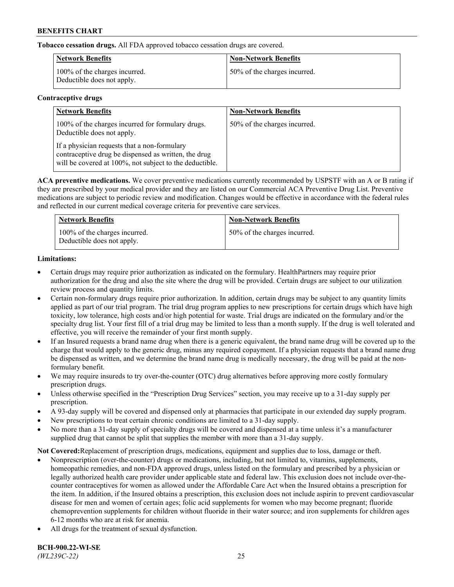**Tobacco cessation drugs.** All FDA approved tobacco cessation drugs are covered.

| Network Benefits                                            | <b>Non-Network Benefits</b>  |
|-------------------------------------------------------------|------------------------------|
| 100% of the charges incurred.<br>Deductible does not apply. | 50% of the charges incurred. |

# **Contraceptive drugs**

| <b>Network Benefits</b>                                                                                                                                         | <b>Non-Network Benefits</b>  |
|-----------------------------------------------------------------------------------------------------------------------------------------------------------------|------------------------------|
| 100% of the charges incurred for formulary drugs.<br>Deductible does not apply.                                                                                 | 50% of the charges incurred. |
| If a physician requests that a non-formulary<br>contraceptive drug be dispensed as written, the drug<br>will be covered at 100%, not subject to the deductible. |                              |

**ACA preventive medications.** We cover preventive medications currently recommended by USPSTF with an A or B rating if they are prescribed by your medical provider and they are listed on our Commercial ACA Preventive Drug List. Preventive medications are subject to periodic review and modification. Changes would be effective in accordance with the federal rules and reflected in our current medical coverage criteria for preventive care services.

| <b>Network Benefits</b>                                     | <b>Non-Network Benefits</b>  |
|-------------------------------------------------------------|------------------------------|
| 100% of the charges incurred.<br>Deductible does not apply. | 50% of the charges incurred. |

# **Limitations:**

- Certain drugs may require prior authorization as indicated on the formulary. HealthPartners may require prior authorization for the drug and also the site where the drug will be provided. Certain drugs are subject to our utilization review process and quantity limits.
- Certain non-formulary drugs require prior authorization. In addition, certain drugs may be subject to any quantity limits applied as part of our trial program. The trial drug program applies to new prescriptions for certain drugs which have high toxicity, low tolerance, high costs and/or high potential for waste. Trial drugs are indicated on the formulary and/or the specialty drug list. Your first fill of a trial drug may be limited to less than a month supply. If the drug is well tolerated and effective, you will receive the remainder of your first month supply.
- If an Insured requests a brand name drug when there is a generic equivalent, the brand name drug will be covered up to the charge that would apply to the generic drug, minus any required copayment. If a physician requests that a brand name drug be dispensed as written, and we determine the brand name drug is medically necessary, the drug will be paid at the nonformulary benefit.
- We may require insureds to try over-the-counter (OTC) drug alternatives before approving more costly formulary prescription drugs.
- Unless otherwise specified in the "Prescription Drug Services" section, you may receive up to a 31-day supply per prescription.
- A 93-day supply will be covered and dispensed only at pharmacies that participate in our extended day supply program.
- New prescriptions to treat certain chronic conditions are limited to a 31-day supply.
- No more than a 31-day supply of specialty drugs will be covered and dispensed at a time unless it's a manufacturer supplied drug that cannot be split that supplies the member with more than a 31-day supply.

**Not Covered:**Replacement of prescription drugs, medications, equipment and supplies due to loss, damage or theft.

- Nonprescription (over-the-counter) drugs or medications, including, but not limited to, vitamins, supplements, homeopathic remedies, and non-FDA approved drugs, unless listed on the formulary and prescribed by a physician or legally authorized health care provider under applicable state and federal law. This exclusion does not include over-thecounter contraceptives for women as allowed under the Affordable Care Act when the Insured obtains a prescription for the item. In addition, if the Insured obtains a prescription, this exclusion does not include aspirin to prevent cardiovascular disease for men and women of certain ages; folic acid supplements for women who may become pregnant; fluoride chemoprevention supplements for children without fluoride in their water source; and iron supplements for children ages 6-12 months who are at risk for anemia.
- All drugs for the treatment of sexual dysfunction.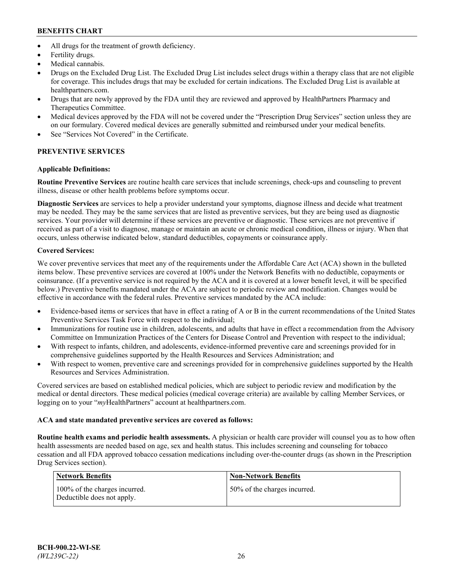- All drugs for the treatment of growth deficiency.
- Fertility drugs.
- Medical cannabis.
- Drugs on the Excluded Drug List. The Excluded Drug List includes select drugs within a therapy class that are not eligible for coverage. This includes drugs that may be excluded for certain indications. The Excluded Drug List is available at [healthpartners.com.](http://www.healthpartners.com/)
- Drugs that are newly approved by the FDA until they are reviewed and approved by HealthPartners Pharmacy and Therapeutics Committee.
- Medical devices approved by the FDA will not be covered under the "Prescription Drug Services" section unless they are on our formulary. Covered medical devices are generally submitted and reimbursed under your medical benefits.
- See "Services Not Covered" in the Certificate.

# **PREVENTIVE SERVICES**

# **Applicable Definitions:**

**Routine Preventive Services** are routine health care services that include screenings, check-ups and counseling to prevent illness, disease or other health problems before symptoms occur.

**Diagnostic Services** are services to help a provider understand your symptoms, diagnose illness and decide what treatment may be needed. They may be the same services that are listed as preventive services, but they are being used as diagnostic services. Your provider will determine if these services are preventive or diagnostic. These services are not preventive if received as part of a visit to diagnose, manage or maintain an acute or chronic medical condition, illness or injury. When that occurs, unless otherwise indicated below, standard deductibles, copayments or coinsurance apply.

# **Covered Services:**

We cover preventive services that meet any of the requirements under the Affordable Care Act (ACA) shown in the bulleted items below. These preventive services are covered at 100% under the Network Benefits with no deductible, copayments or coinsurance. (If a preventive service is not required by the ACA and it is covered at a lower benefit level, it will be specified below.) Preventive benefits mandated under the ACA are subject to periodic review and modification. Changes would be effective in accordance with the federal rules. Preventive services mandated by the ACA include:

- Evidence-based items or services that have in effect a rating of A or B in the current recommendations of the United States Preventive Services Task Force with respect to the individual;
- Immunizations for routine use in children, adolescents, and adults that have in effect a recommendation from the Advisory Committee on Immunization Practices of the Centers for Disease Control and Prevention with respect to the individual;
- With respect to infants, children, and adolescents, evidence-informed preventive care and screenings provided for in comprehensive guidelines supported by the Health Resources and Services Administration; and
- With respect to women, preventive care and screenings provided for in comprehensive guidelines supported by the Health Resources and Services Administration.

Covered services are based on established medical policies, which are subject to periodic review and modification by the medical or dental directors. These medical policies (medical coverage criteria) are available by calling Member Services, or logging on to your "*my*HealthPartners" account at [healthpartners.com.](https://www.healthpartners.com/hp/index.html)

# **ACA and state mandated preventive services are covered as follows:**

**Routine health exams and periodic health assessments.** A physician or health care provider will counsel you as to how often health assessments are needed based on age, sex and health status. This includes screening and counseling for tobacco cessation and all FDA approved tobacco cessation medications including over-the-counter drugs (as shown in the Prescription Drug Services section).

| Network Benefits                                            | <b>Non-Network Benefits</b>  |
|-------------------------------------------------------------|------------------------------|
| 100% of the charges incurred.<br>Deductible does not apply. | 50% of the charges incurred. |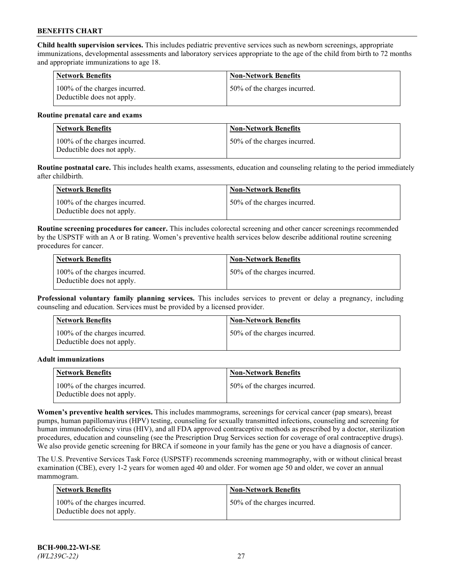**Child health supervision services.** This includes pediatric preventive services such as newborn screenings, appropriate immunizations, developmental assessments and laboratory services appropriate to the age of the child from birth to 72 months and appropriate immunizations to age 18.

| <b>Network Benefits</b>                                     | <b>Non-Network Benefits</b>  |
|-------------------------------------------------------------|------------------------------|
| 100% of the charges incurred.<br>Deductible does not apply. | 50% of the charges incurred. |

#### **Routine prenatal care and exams**

| Network Benefits                                            | <b>Non-Network Benefits</b>  |
|-------------------------------------------------------------|------------------------------|
| 100% of the charges incurred.<br>Deductible does not apply. | 50% of the charges incurred. |

**Routine postnatal care.** This includes health exams, assessments, education and counseling relating to the period immediately after childbirth.

| Network Benefits                                            | <b>Non-Network Benefits</b>  |
|-------------------------------------------------------------|------------------------------|
| 100% of the charges incurred.<br>Deductible does not apply. | 50% of the charges incurred. |

**Routine screening procedures for cancer.** This includes colorectal screening and other cancer screenings recommended by the USPSTF with an A or B rating. Women's preventive health services below describe additional routine screening procedures for cancer.

| <b>Network Benefits</b>                                     | <b>Non-Network Benefits</b>  |
|-------------------------------------------------------------|------------------------------|
| 100% of the charges incurred.<br>Deductible does not apply. | 50% of the charges incurred. |

**Professional voluntary family planning services.** This includes services to prevent or delay a pregnancy, including counseling and education. Services must be provided by a licensed provider.

| <b>Network Benefits</b>                                     | <b>Non-Network Benefits</b>  |
|-------------------------------------------------------------|------------------------------|
| 100% of the charges incurred.<br>Deductible does not apply. | 50% of the charges incurred. |

#### **Adult immunizations**

| <b>Network Benefits</b>                                     | <b>Non-Network Benefits</b>  |
|-------------------------------------------------------------|------------------------------|
| 100% of the charges incurred.<br>Deductible does not apply. | 50% of the charges incurred. |

**Women's preventive health services.** This includes mammograms, screenings for cervical cancer (pap smears), breast pumps, human papillomavirus (HPV) testing, counseling for sexually transmitted infections, counseling and screening for human immunodeficiency virus (HIV), and all FDA approved contraceptive methods as prescribed by a doctor, sterilization procedures, education and counseling (see the Prescription Drug Services section for coverage of oral contraceptive drugs). We also provide genetic screening for BRCA if someone in your family has the gene or you have a diagnosis of cancer.

The U.S. Preventive Services Task Force (USPSTF) recommends screening mammography, with or without clinical breast examination (CBE), every 1-2 years for women aged 40 and older. For women age 50 and older, we cover an annual mammogram.

| <b>Network Benefits</b>                                     | <b>Non-Network Benefits</b>  |
|-------------------------------------------------------------|------------------------------|
| 100% of the charges incurred.<br>Deductible does not apply. | 50% of the charges incurred. |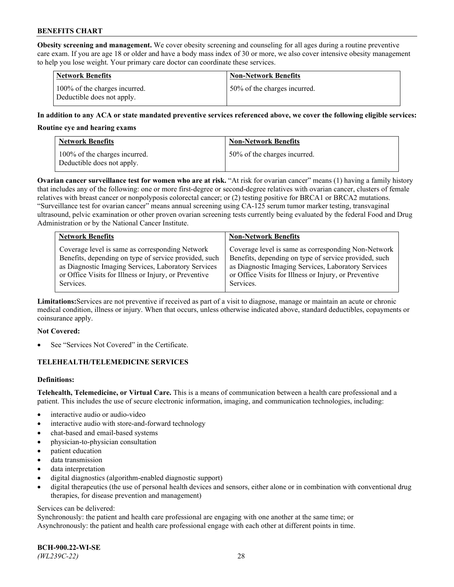**Obesity screening and management.** We cover obesity screening and counseling for all ages during a routine preventive care exam. If you are age 18 or older and have a body mass index of 30 or more, we also cover intensive obesity management to help you lose weight. Your primary care doctor can coordinate these services.

| <b>Network Benefits</b>                                     | <b>Non-Network Benefits</b>  |
|-------------------------------------------------------------|------------------------------|
| 100% of the charges incurred.<br>Deductible does not apply. | 50% of the charges incurred. |

### **In addition to any ACA or state mandated preventive services referenced above, we cover the following eligible services:**

#### **Routine eye and hearing exams**

| Network Benefits                                            | <b>Non-Network Benefits</b>  |
|-------------------------------------------------------------|------------------------------|
| 100% of the charges incurred.<br>Deductible does not apply. | 50% of the charges incurred. |

**Ovarian cancer surveillance test for women who are at risk.** "At risk for ovarian cancer" means (1) having a family history that includes any of the following: one or more first-degree or second-degree relatives with ovarian cancer, clusters of female relatives with breast cancer or nonpolyposis colorectal cancer; or (2) testing positive for BRCA1 or BRCA2 mutations. "Surveillance test for ovarian cancer" means annual screening using CA-125 serum tumor marker testing, transvaginal ultrasound, pelvic examination or other proven ovarian screening tests currently being evaluated by the federal Food and Drug Administration or by the National Cancer Institute.

| <b>Network Benefits</b>                               | <b>Non-Network Benefits</b>                           |
|-------------------------------------------------------|-------------------------------------------------------|
| Coverage level is same as corresponding Network       | Coverage level is same as corresponding Non-Network   |
| Benefits, depending on type of service provided, such | Benefits, depending on type of service provided, such |
| as Diagnostic Imaging Services, Laboratory Services   | as Diagnostic Imaging Services, Laboratory Services   |
| or Office Visits for Illness or Injury, or Preventive | or Office Visits for Illness or Injury, or Preventive |
| Services.                                             | Services.                                             |

**Limitations:**Services are not preventive if received as part of a visit to diagnose, manage or maintain an acute or chronic medical condition, illness or injury. When that occurs, unless otherwise indicated above, standard deductibles, copayments or coinsurance apply.

### **Not Covered:**

See "Services Not Covered" in the Certificate.

### **TELEHEALTH/TELEMEDICINE SERVICES**

### **Definitions:**

**Telehealth, Telemedicine, or Virtual Care.** This is a means of communication between a health care professional and a patient. This includes the use of secure electronic information, imaging, and communication technologies, including:

- interactive audio or audio-video
- interactive audio with store-and-forward technology
- chat-based and email-based systems
- physician-to-physician consultation
- patient education
- data transmission
- data interpretation
- digital diagnostics (algorithm-enabled diagnostic support)
- digital therapeutics (the use of personal health devices and sensors, either alone or in combination with conventional drug therapies, for disease prevention and management)

#### Services can be delivered:

Synchronously: the patient and health care professional are engaging with one another at the same time; or Asynchronously: the patient and health care professional engage with each other at different points in time.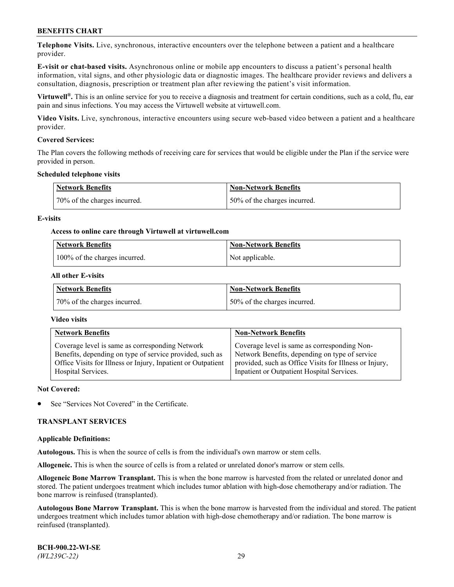**Telephone Visits.** Live, synchronous, interactive encounters over the telephone between a patient and a healthcare provider.

**E-visit or chat-based visits.** Asynchronous online or mobile app encounters to discuss a patient's personal health information, vital signs, and other physiologic data or diagnostic images. The healthcare provider reviews and delivers a consultation, diagnosis, prescription or treatment plan after reviewing the patient's visit information.

**Virtuwell®.** This is an online service for you to receive a diagnosis and treatment for certain conditions, such as a cold, flu, ear pain and sinus infections. You may access the Virtuwell website at [virtuwell.com.](https://www.virtuwell.com/)

**Video Visits.** Live, synchronous, interactive encounters using secure web-based video between a patient and a healthcare provider.

### **Covered Services:**

The Plan covers the following methods of receiving care for services that would be eligible under the Plan if the service were provided in person.

#### **Scheduled telephone visits**

| <b>Network Benefits</b>      | Non-Network Benefits         |
|------------------------------|------------------------------|
| 70% of the charges incurred. | 50% of the charges incurred. |

### **E-visits**

### **Access to online care through Virtuwell at [virtuwell.com](https://www.virtuwell.com/)**

| Network Benefits              | <b>Non-Network Benefits</b> |
|-------------------------------|-----------------------------|
| 100% of the charges incurred. | Not applicable.             |

### **All other E-visits**

| <b>Network Benefits</b>      | <b>Non-Network Benefits</b>  |
|------------------------------|------------------------------|
| 70% of the charges incurred. | 50% of the charges incurred. |

#### **Video visits**

| <b>Network Benefits</b>                                      | <b>Non-Network Benefits</b>                            |
|--------------------------------------------------------------|--------------------------------------------------------|
| Coverage level is same as corresponding Network              | Coverage level is same as corresponding Non-           |
| Benefits, depending on type of service provided, such as     | Network Benefits, depending on type of service         |
| Office Visits for Illness or Injury, Inpatient or Outpatient | provided, such as Office Visits for Illness or Injury, |
| Hospital Services.                                           | Inpatient or Outpatient Hospital Services.             |

#### **Not Covered:**

See "Services Not Covered" in the Certificate.

### **TRANSPLANT SERVICES**

#### **Applicable Definitions:**

**Autologous.** This is when the source of cells is from the individual's own marrow or stem cells.

**Allogeneic.** This is when the source of cells is from a related or unrelated donor's marrow or stem cells.

**Allogeneic Bone Marrow Transplant.** This is when the bone marrow is harvested from the related or unrelated donor and stored. The patient undergoes treatment which includes tumor ablation with high-dose chemotherapy and/or radiation. The bone marrow is reinfused (transplanted).

**Autologous Bone Marrow Transplant.** This is when the bone marrow is harvested from the individual and stored. The patient undergoes treatment which includes tumor ablation with high-dose chemotherapy and/or radiation. The bone marrow is reinfused (transplanted).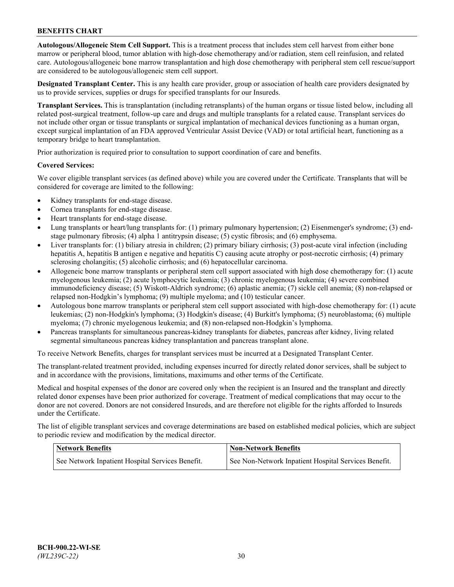**Autologous/Allogeneic Stem Cell Support.** This is a treatment process that includes stem cell harvest from either bone marrow or peripheral blood, tumor ablation with high-dose chemotherapy and/or radiation, stem cell reinfusion, and related care. Autologous/allogeneic bone marrow transplantation and high dose chemotherapy with peripheral stem cell rescue/support are considered to be autologous/allogeneic stem cell support.

**Designated Transplant Center.** This is any health care provider, group or association of health care providers designated by us to provide services, supplies or drugs for specified transplants for our Insureds.

**Transplant Services.** This is transplantation (including retransplants) of the human organs or tissue listed below, including all related post-surgical treatment, follow-up care and drugs and multiple transplants for a related cause. Transplant services do not include other organ or tissue transplants or surgical implantation of mechanical devices functioning as a human organ, except surgical implantation of an FDA approved Ventricular Assist Device (VAD) or total artificial heart, functioning as a temporary bridge to heart transplantation.

Prior authorization is required prior to consultation to support coordination of care and benefits.

### **Covered Services:**

We cover eligible transplant services (as defined above) while you are covered under the Certificate. Transplants that will be considered for coverage are limited to the following:

- Kidney transplants for end-stage disease.
- Cornea transplants for end-stage disease.
- Heart transplants for end-stage disease.
- Lung transplants or heart/lung transplants for: (1) primary pulmonary hypertension; (2) Eisenmenger's syndrome; (3) endstage pulmonary fibrosis; (4) alpha 1 antitrypsin disease; (5) cystic fibrosis; and (6) emphysema.
- Liver transplants for: (1) biliary atresia in children; (2) primary biliary cirrhosis; (3) post-acute viral infection (including hepatitis A, hepatitis B antigen e negative and hepatitis C) causing acute atrophy or post-necrotic cirrhosis; (4) primary sclerosing cholangitis; (5) alcoholic cirrhosis; and (6) hepatocellular carcinoma.
- Allogeneic bone marrow transplants or peripheral stem cell support associated with high dose chemotherapy for: (1) acute myelogenous leukemia; (2) acute lymphocytic leukemia; (3) chronic myelogenous leukemia; (4) severe combined immunodeficiency disease; (5) Wiskott-Aldrich syndrome; (6) aplastic anemia; (7) sickle cell anemia; (8) non-relapsed or relapsed non-Hodgkin's lymphoma; (9) multiple myeloma; and (10) testicular cancer.
- Autologous bone marrow transplants or peripheral stem cell support associated with high-dose chemotherapy for: (1) acute leukemias; (2) non-Hodgkin's lymphoma; (3) Hodgkin's disease; (4) Burkitt's lymphoma; (5) neuroblastoma; (6) multiple myeloma; (7) chronic myelogenous leukemia; and (8) non-relapsed non-Hodgkin's lymphoma.
- Pancreas transplants for simultaneous pancreas-kidney transplants for diabetes, pancreas after kidney, living related segmental simultaneous pancreas kidney transplantation and pancreas transplant alone.

To receive Network Benefits, charges for transplant services must be incurred at a Designated Transplant Center.

The transplant-related treatment provided, including expenses incurred for directly related donor services, shall be subject to and in accordance with the provisions, limitations, maximums and other terms of the Certificate.

Medical and hospital expenses of the donor are covered only when the recipient is an Insured and the transplant and directly related donor expenses have been prior authorized for coverage. Treatment of medical complications that may occur to the donor are not covered. Donors are not considered Insureds, and are therefore not eligible for the rights afforded to Insureds under the Certificate.

The list of eligible transplant services and coverage determinations are based on established medical policies, which are subject to periodic review and modification by the medical director.

| <b>Network Benefits</b>                          | <b>Non-Network Benefits</b>                          |
|--------------------------------------------------|------------------------------------------------------|
| See Network Inpatient Hospital Services Benefit. | See Non-Network Inpatient Hospital Services Benefit. |